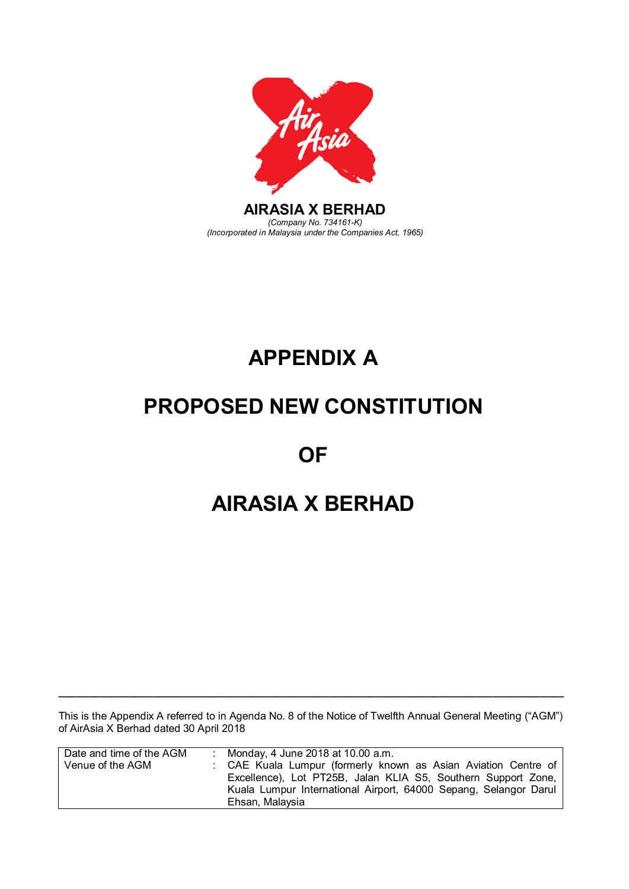

# **APPENDIX A APPENDIX A**

# **PROPOSED NEW CONSTITUTION PROPOSED NEW CONSTITUTION**

**OF OF** 

# **AIRASIA X BERHAD AIRASIA X BERHAD**

This is the Appendix A referred to in Agenda No. 8 of the Notice of Twelfth Annual General Meeting ("AGM") of AirAsia X Berhad dated 30 April 2018

**\_\_\_\_\_\_\_\_\_\_\_\_\_\_\_\_\_\_\_\_\_\_\_\_\_\_\_\_\_\_\_\_\_\_\_\_\_\_\_\_\_\_\_\_\_\_\_\_\_\_\_\_\_\_\_\_\_\_\_\_\_\_\_\_\_\_\_\_\_\_\_\_\_\_\_\_\_\_\_\_\_\_\_\_\_\_**

This is the Appendix A referred to in Agenda No. 8 of the Notice of Twelfth Annual General Meeting ("AGM")

This is the Appendix A referred to in Agenda No. 8 of the Notice of Twelfth Annual General Meeting ("AGM")

| Date and time of the AGM | : Monday, 4 June 2018 at 10.00 a.m.                                                                                                                                                                                    |
|--------------------------|------------------------------------------------------------------------------------------------------------------------------------------------------------------------------------------------------------------------|
| Venue of the AGM         | : CAE Kuala Lumpur (formerly known as Asian Aviation Centre of<br>Excellence), Lot PT25B, Jalan KLIA S5, Southern Support Zone,<br>Kuala Lumpur International Airport, 64000 Sepang, Selangor Darul<br>Ehsan, Malaysia |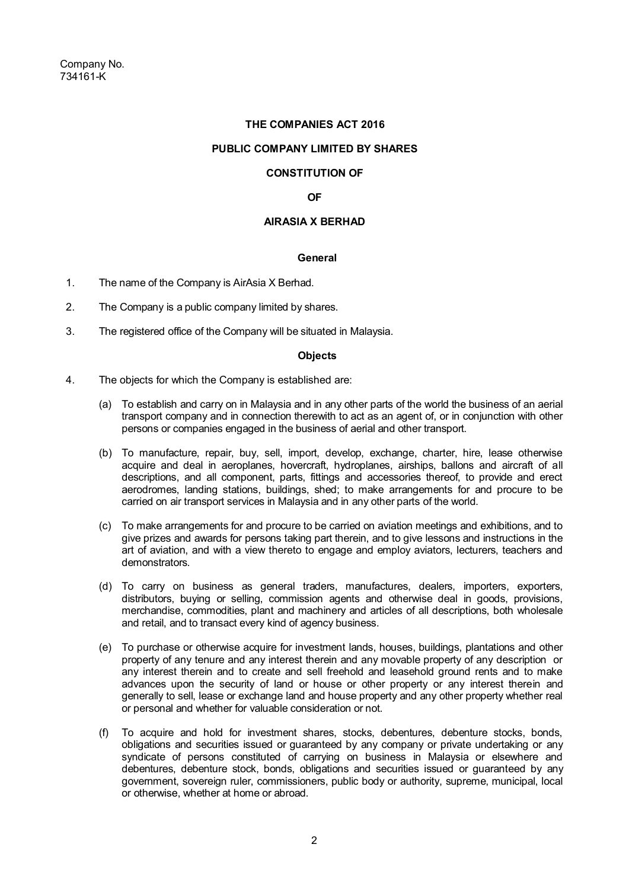# **THE COMPANIES ACT 2016**

## **PUBLIC COMPANY LIMITED BY SHARES**

# **CONSTITUTION OF**

# **OF**

# **AIRASIA X BERHAD**

## **General**

- 1. The name of the Company is AirAsia X Berhad.
- 2. The Company is a public company limited by shares.
- 3. The registered office of the Company will be situated in Malaysia.

## **Objects**

- 4. The objects for which the Company is established are:
	- (a) To establish and carry on in Malaysia and in any other parts of the world the business of an aerial transport company and in connection therewith to act as an agent of, or in conjunction with other persons or companies engaged in the business of aerial and other transport.
	- (b) To manufacture, repair, buy, sell, import, develop, exchange, charter, hire, lease otherwise acquire and deal in aeroplanes, hovercraft, hydroplanes, airships, ballons and aircraft of all descriptions, and all component, parts, fittings and accessories thereof, to provide and erect aerodromes, landing stations, buildings, shed; to make arrangements for and procure to be carried on air transport services in Malaysia and in any other parts of the world.
	- (c) To make arrangements for and procure to be carried on aviation meetings and exhibitions, and to give prizes and awards for persons taking part therein, and to give lessons and instructions in the art of aviation, and with a view thereto to engage and employ aviators, lecturers, teachers and demonstrators.
	- (d) To carry on business as general traders, manufactures, dealers, importers, exporters, distributors, buying or selling, commission agents and otherwise deal in goods, provisions, merchandise, commodities, plant and machinery and articles of all descriptions, both wholesale and retail, and to transact every kind of agency business.
	- (e) To purchase or otherwise acquire for investment lands, houses, buildings, plantations and other property of any tenure and any interest therein and any movable property of any description or any interest therein and to create and sell freehold and leasehold ground rents and to make advances upon the security of land or house or other property or any interest therein and generally to sell, lease or exchange land and house property and any other property whether real or personal and whether for valuable consideration or not.
	- (f) To acquire and hold for investment shares, stocks, debentures, debenture stocks, bonds, obligations and securities issued or guaranteed by any company or private undertaking or any syndicate of persons constituted of carrying on business in Malaysia or elsewhere and debentures, debenture stock, bonds, obligations and securities issued or guaranteed by any government, sovereign ruler, commissioners, public body or authority, supreme, municipal, local or otherwise, whether at home or abroad.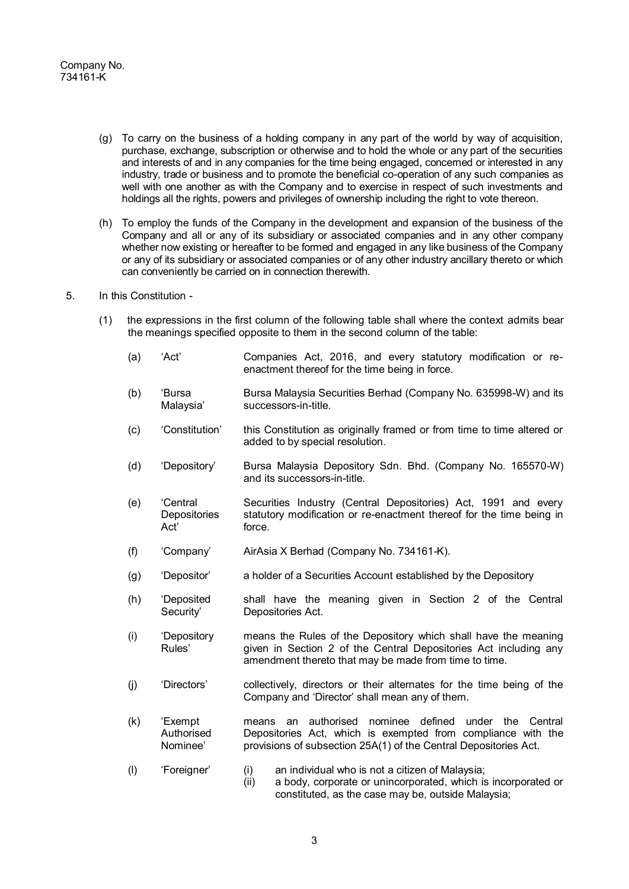- (g) To carry on the business of a holding company in any part of the world by way of acquisition, purchase, exchange, subscription or otherwise and to hold the whole or any part of the securities and interests of and in any companies for the time being engaged, concerned or interested in any industry, trade or business and to promote the beneficial co-operation of any such companies as well with one another as with the Company and to exercise in respect of such investments and holdings all the rights, powers and privileges of ownership including the right to vote thereon.
- (h) To employ the funds of the Company in the development and expansion of the business of the Company and all or any of its subsidiary or associated companies and in any other company whether now existing or hereafter to be formed and engaged in any like business of the Company or any of its subsidiary or associated companies or of any other industry ancillary thereto or which can conveniently be carried on in connection therewith.
- 5. In this Constitution
	- (1) the expressions in the first column of the following table shall where the context admits bear the meanings specified opposite to them in the second column of the table:
		- (a) 'Act' Companies Act, 2016, and every statutory modification or reenactment thereof for the time being in force.
		- (b) 'Bursa Malaysia' Bursa Malaysia Securities Berhad (Company No. 635998-W) and its successors-in-title.
		- (c) 'Constitution' this Constitution as originally framed or from time to time altered or added to by special resolution.
		- (d) 'Depository' Bursa Malaysia Depository Sdn. Bhd. (Company No. 165570-W) and its successors-in-title.
		- (e) 'Central **Depositories** Act' Securities Industry (Central Depositories) Act, 1991 and every statutory modification or re-enactment thereof for the time being in force.
		- (f) 'Company' AirAsia X Berhad (Company No. 734161-K).
		- (g) 'Depositor' a holder of a Securities Account established by the Depository
		- (h) 'Deposited Security' shall have the meaning given in Section 2 of the Central Depositories Act.
		- (i) 'Depository Rules' means the Rules of the Depository which shall have the meaning given in Section 2 of the Central Depositories Act including any amendment thereto that may be made from time to time.
		- (j) 'Directors' collectively, directors or their alternates for the time being of the Company and 'Director' shall mean any of them.
		- (k) 'Exempt Authorised Nominee' means an authorised nominee defined under the Central Depositories Act, which is exempted from compliance with the provisions of subsection 25A(1) of the Central Depositories Act.
		- (l) 'Foreigner' (i) an individual who is not a citizen of Malaysia;
			- (ii) a body, corporate or unincorporated, which is incorporated or constituted, as the case may be, outside Malaysia;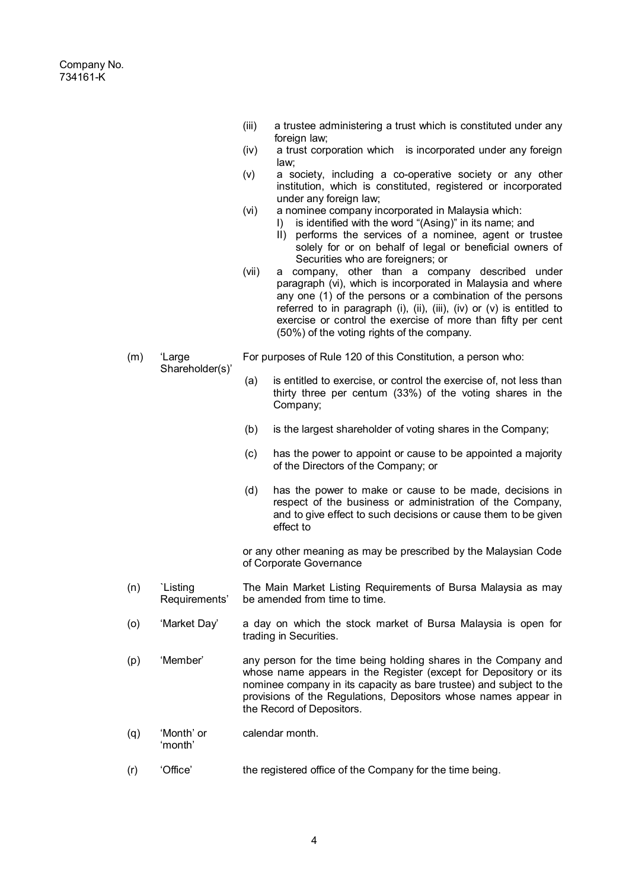(m) 'Large

Shareholder(s)'

- (iii) a trustee administering a trust which is constituted under any foreign law;
- (iv) a trust corporation which is incorporated under any foreign law;
- (v) a society, including a co-operative society or any other institution, which is constituted, registered or incorporated under any foreign law;
- (vi) a nominee company incorporated in Malaysia which:
	- I) is identified with the word "(Asing)" in its name; and
	- II) performs the services of a nominee, agent or trustee solely for or on behalf of legal or beneficial owners of Securities who are foreigners; or
- (vii) a company, other than a company described under paragraph (vi), which is incorporated in Malaysia and where any one (1) of the persons or a combination of the persons referred to in paragraph (i), (ii), (iii), (iv) or (v) is entitled to exercise or control the exercise of more than fifty per cent (50%) of the voting rights of the company.
- For purposes of Rule 120 of this Constitution, a person who:
	- (a) is entitled to exercise, or control the exercise of, not less than thirty three per centum (33%) of the voting shares in the Company;
	- (b) is the largest shareholder of voting shares in the Company;
	- (c) has the power to appoint or cause to be appointed a majority of the Directors of the Company; or
	- (d) has the power to make or cause to be made, decisions in respect of the business or administration of the Company, and to give effect to such decisions or cause them to be given effect to

or any other meaning as may be prescribed by the Malaysian Code of Corporate Governance

- (n) `Listing Requirements' The Main Market Listing Requirements of Bursa Malaysia as may be amended from time to time.
- (o) 'Market Day' a day on which the stock market of Bursa Malaysia is open for trading in Securities.
- (p) 'Member' any person for the time being holding shares in the Company and whose name appears in the Register (except for Depository or its nominee company in its capacity as bare trustee) and subject to the provisions of the Regulations, Depositors whose names appear in the Record of Depositors.
- (q) 'Month' or 'month' calendar month.
- (r) 'Office' the registered office of the Company for the time being.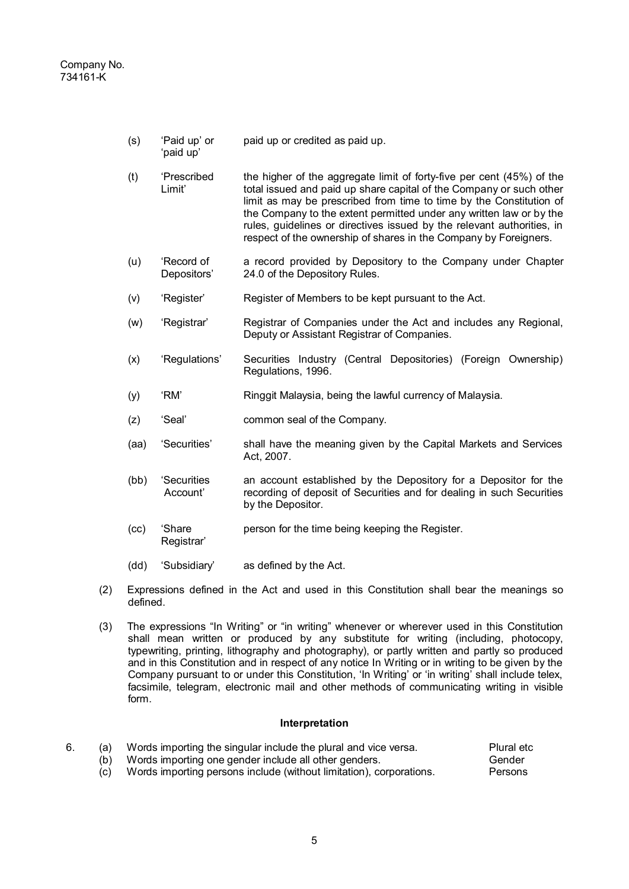(s) 'Paid up' or paid up or credited as paid up.

'paid up'

- (t) 'Prescribed Limit' the higher of the aggregate limit of forty-five per cent (45%) of the total issued and paid up share capital of the Company or such other limit as may be prescribed from time to time by the Constitution of the Company to the extent permitted under any written law or by the rules, guidelines or directives issued by the relevant authorities, in respect of the ownership of shares in the Company by Foreigners.
- (u) 'Record of Depositors' a record provided by Depository to the Company under Chapter 24.0 of the Depository Rules.
- (v) 'Register' Register of Members to be kept pursuant to the Act.
- (w) 'Registrar' Registrar of Companies under the Act and includes any Regional, Deputy or Assistant Registrar of Companies.
- (x) 'Regulations' Securities Industry (Central Depositories) (Foreign Ownership) Regulations, 1996.
- (y) 'RM' Ringgit Malaysia, being the lawful currency of Malaysia.
- (z) 'Seal' common seal of the Company.
- (aa) 'Securities' shall have the meaning given by the Capital Markets and Services Act, 2007.
- (bb) 'Securities Account' an account established by the Depository for a Depositor for the recording of deposit of Securities and for dealing in such Securities by the Depositor.
- (cc) 'Share Registrar' person for the time being keeping the Register.
- (dd) 'Subsidiary' as defined by the Act.
- (2) Expressions defined in the Act and used in this Constitution shall bear the meanings so defined.
- (3) The expressions "In Writing" or "in writing" whenever or wherever used in this Constitution shall mean written or produced by any substitute for writing (including, photocopy, typewriting, printing, lithography and photography), or partly written and partly so produced and in this Constitution and in respect of any notice In Writing or in writing to be given by the Company pursuant to or under this Constitution, 'In Writing' or 'in writing' shall include telex, facsimile, telegram, electronic mail and other methods of communicating writing in visible form.

## **Interpretation**

|  | Words importing the singular include the plural and vice versa.     | Plural etc |
|--|---------------------------------------------------------------------|------------|
|  | Words importing one gender include all other genders.               | Gender     |
|  | Words importing persons include (without limitation), corporations. | Persons    |

(c) Words importing persons include (without limitation), corporations.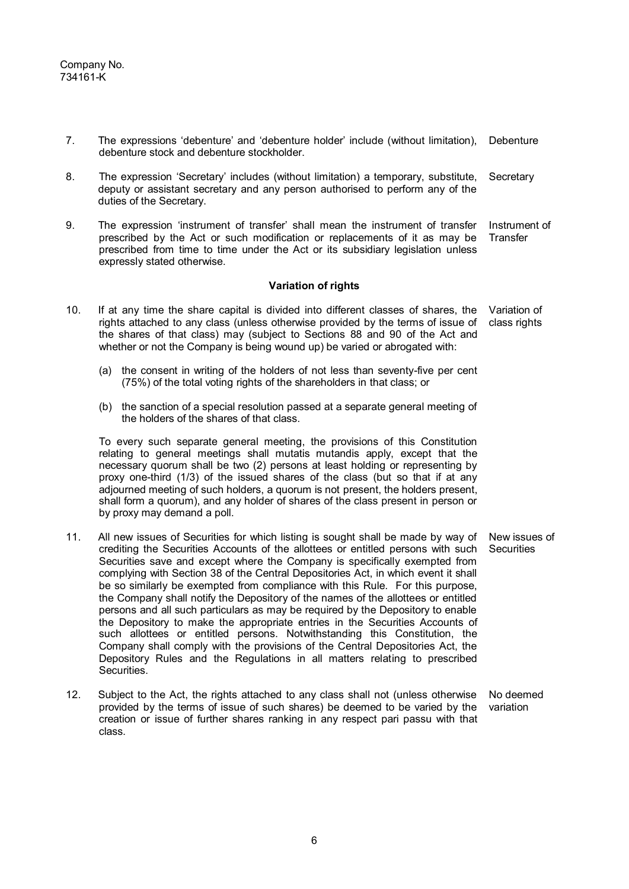- 7. The expressions 'debenture' and 'debenture holder' include (without limitation), Debenture debenture stock and debenture stockholder.
- 8. The expression 'Secretary' includes (without limitation) a temporary, substitute, deputy or assistant secretary and any person authorised to perform any of the duties of the Secretary. **Secretary**
- 9. The expression 'instrument of transfer' shall mean the instrument of transfer prescribed by the Act or such modification or replacements of it as may be prescribed from time to time under the Act or its subsidiary legislation unless expressly stated otherwise. Instrument of **Transfer**

## **Variation of rights**

- 10. If at any time the share capital is divided into different classes of shares, the rights attached to any class (unless otherwise provided by the terms of issue of the shares of that class) may (subject to Sections 88 and 90 of the Act and whether or not the Company is being wound up) be varied or abrogated with: Variation of class rights
	- (a) the consent in writing of the holders of not less than seventy-five per cent (75%) of the total voting rights of the shareholders in that class; or
	- (b) the sanction of a special resolution passed at a separate general meeting of the holders of the shares of that class.

To every such separate general meeting, the provisions of this Constitution relating to general meetings shall mutatis mutandis apply, except that the necessary quorum shall be two (2) persons at least holding or representing by proxy one-third (1/3) of the issued shares of the class (but so that if at any adjourned meeting of such holders, a quorum is not present, the holders present, shall form a quorum), and any holder of shares of the class present in person or by proxy may demand a poll.

- 11. All new issues of Securities for which listing is sought shall be made by way of crediting the Securities Accounts of the allottees or entitled persons with such Securities save and except where the Company is specifically exempted from complying with Section 38 of the Central Depositories Act, in which event it shall be so similarly be exempted from compliance with this Rule. For this purpose, the Company shall notify the Depository of the names of the allottees or entitled persons and all such particulars as may be required by the Depository to enable the Depository to make the appropriate entries in the Securities Accounts of such allottees or entitled persons. Notwithstanding this Constitution, the Company shall comply with the provisions of the Central Depositories Act, the Depository Rules and the Regulations in all matters relating to prescribed Securities. New issues of **Securities**
- 12. Subject to the Act, the rights attached to any class shall not (unless otherwise provided by the terms of issue of such shares) be deemed to be varied by the creation or issue of further shares ranking in any respect pari passu with that class. No deemed variation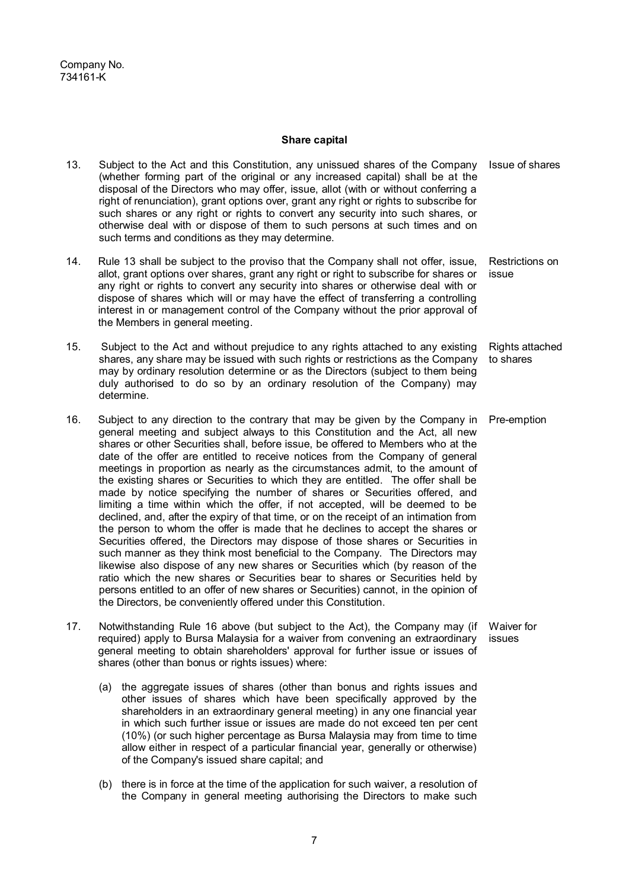#### **Share capital**

- 13. Subject to the Act and this Constitution, any unissued shares of the Company Issue of shares (whether forming part of the original or any increased capital) shall be at the disposal of the Directors who may offer, issue, allot (with or without conferring a right of renunciation), grant options over, grant any right or rights to subscribe for such shares or any right or rights to convert any security into such shares, or otherwise deal with or dispose of them to such persons at such times and on such terms and conditions as they may determine.
- 14. Rule 13 shall be subject to the proviso that the Company shall not offer, issue, allot, grant options over shares, grant any right or right to subscribe for shares or any right or rights to convert any security into shares or otherwise deal with or dispose of shares which will or may have the effect of transferring a controlling interest in or management control of the Company without the prior approval of the Members in general meeting. Restrictions on issue
- 15. Subject to the Act and without prejudice to any rights attached to any existing shares, any share may be issued with such rights or restrictions as the Company may by ordinary resolution determine or as the Directors (subject to them being duly authorised to do so by an ordinary resolution of the Company) may determine. Rights attached to shares
- 16. Subject to any direction to the contrary that may be given by the Company in Pre-emption general meeting and subject always to this Constitution and the Act, all new shares or other Securities shall, before issue, be offered to Members who at the date of the offer are entitled to receive notices from the Company of general meetings in proportion as nearly as the circumstances admit, to the amount of the existing shares or Securities to which they are entitled. The offer shall be made by notice specifying the number of shares or Securities offered, and limiting a time within which the offer, if not accepted, will be deemed to be declined, and, after the expiry of that time, or on the receipt of an intimation from the person to whom the offer is made that he declines to accept the shares or Securities offered, the Directors may dispose of those shares or Securities in such manner as they think most beneficial to the Company. The Directors may likewise also dispose of any new shares or Securities which (by reason of the ratio which the new shares or Securities bear to shares or Securities held by persons entitled to an offer of new shares or Securities) cannot, in the opinion of the Directors, be conveniently offered under this Constitution.
- 17. Notwithstanding Rule 16 above (but subject to the Act), the Company may (if required) apply to Bursa Malaysia for a waiver from convening an extraordinary general meeting to obtain shareholders' approval for further issue or issues of shares (other than bonus or rights issues) where: Waiver for issues
	- (a) the aggregate issues of shares (other than bonus and rights issues and other issues of shares which have been specifically approved by the shareholders in an extraordinary general meeting) in any one financial year in which such further issue or issues are made do not exceed ten per cent (10%) (or such higher percentage as Bursa Malaysia may from time to time allow either in respect of a particular financial year, generally or otherwise) of the Company's issued share capital; and
	- (b) there is in force at the time of the application for such waiver, a resolution of the Company in general meeting authorising the Directors to make such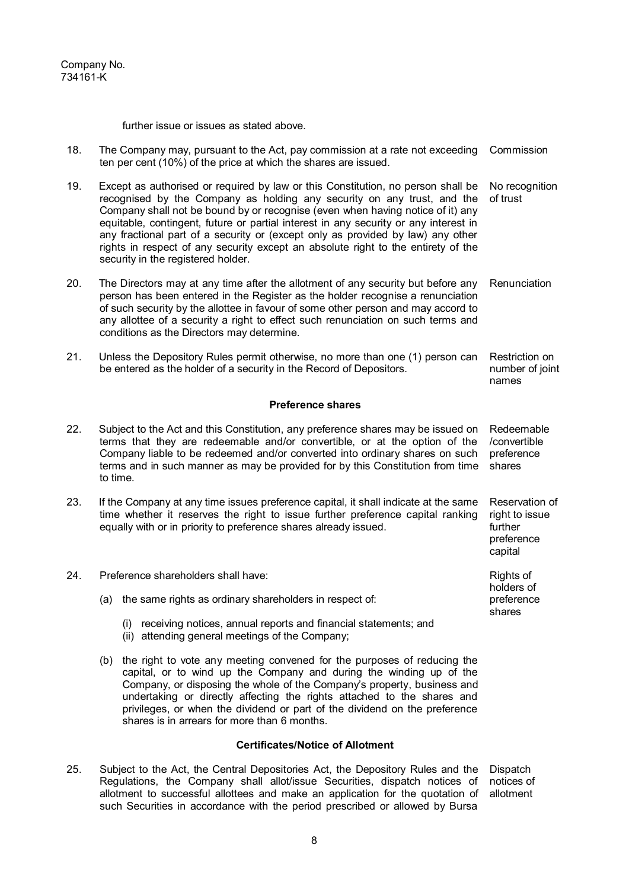further issue or issues as stated above.

| 18. | The Company may, pursuant to the Act, pay commission at a rate not exceeding<br>ten per cent (10%) of the price at which the shares are issued.                                                                                                                                                                                                                                                                                                                                                                                                     | Commission                                                           |
|-----|-----------------------------------------------------------------------------------------------------------------------------------------------------------------------------------------------------------------------------------------------------------------------------------------------------------------------------------------------------------------------------------------------------------------------------------------------------------------------------------------------------------------------------------------------------|----------------------------------------------------------------------|
| 19. | Except as authorised or required by law or this Constitution, no person shall be<br>recognised by the Company as holding any security on any trust, and the<br>Company shall not be bound by or recognise (even when having notice of it) any<br>equitable, contingent, future or partial interest in any security or any interest in<br>any fractional part of a security or (except only as provided by law) any other<br>rights in respect of any security except an absolute right to the entirety of the<br>security in the registered holder. | No recognition<br>of trust                                           |
| 20. | The Directors may at any time after the allotment of any security but before any<br>person has been entered in the Register as the holder recognise a renunciation<br>of such security by the allottee in favour of some other person and may accord to<br>any allottee of a security a right to effect such renunciation on such terms and<br>conditions as the Directors may determine.                                                                                                                                                           | Renunciation                                                         |
| 21. | Unless the Depository Rules permit otherwise, no more than one (1) person can<br>be entered as the holder of a security in the Record of Depositors.                                                                                                                                                                                                                                                                                                                                                                                                | Restriction on<br>number of joint<br>names                           |
|     | <b>Preference shares</b>                                                                                                                                                                                                                                                                                                                                                                                                                                                                                                                            |                                                                      |
| 22. | Subject to the Act and this Constitution, any preference shares may be issued on<br>terms that they are redeemable and/or convertible, or at the option of the<br>Company liable to be redeemed and/or converted into ordinary shares on such<br>terms and in such manner as may be provided for by this Constitution from time<br>to time.                                                                                                                                                                                                         | Redeemable<br>/convertible<br>preference<br>shares                   |
| 23. | If the Company at any time issues preference capital, it shall indicate at the same<br>time whether it reserves the right to issue further preference capital ranking<br>equally with or in priority to preference shares already issued.                                                                                                                                                                                                                                                                                                           | Reservation of<br>right to issue<br>further<br>preference<br>capital |
| 24. | Preference shareholders shall have:                                                                                                                                                                                                                                                                                                                                                                                                                                                                                                                 | Rights of<br>holders of                                              |
|     | the same rights as ordinary shareholders in respect of:<br>(a)                                                                                                                                                                                                                                                                                                                                                                                                                                                                                      | preference<br>shares                                                 |
|     | (i) receiving notices, annual reports and financial statements; and                                                                                                                                                                                                                                                                                                                                                                                                                                                                                 |                                                                      |

- (ii) attending general meetings of the Company;
- (b) the right to vote any meeting convened for the purposes of reducing the capital, or to wind up the Company and during the winding up of the Company, or disposing the whole of the Company's property, business and undertaking or directly affecting the rights attached to the shares and privileges, or when the dividend or part of the dividend on the preference shares is in arrears for more than 6 months.

# **Certificates/Notice of Allotment**

25. Subject to the Act, the Central Depositories Act, the Depository Rules and the Dispatch Regulations, the Company shall allot/issue Securities, dispatch notices of allotment to successful allottees and make an application for the quotation of such Securities in accordance with the period prescribed or allowed by Bursa notices of allotment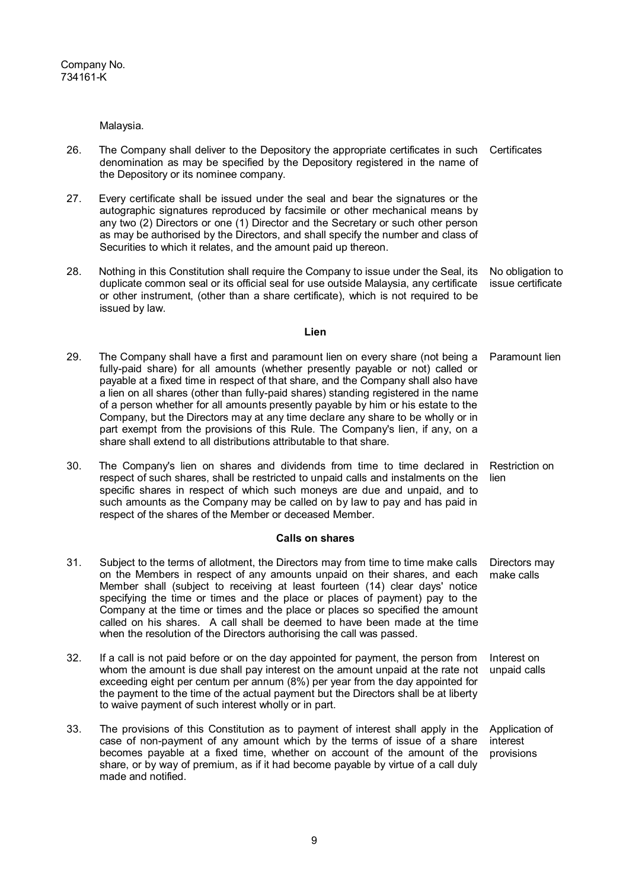Malaysia.

- 26. The Company shall deliver to the Depository the appropriate certificates in such Certificates denomination as may be specified by the Depository registered in the name of the Depository or its nominee company.
- 27. Every certificate shall be issued under the seal and bear the signatures or the autographic signatures reproduced by facsimile or other mechanical means by any two (2) Directors or one (1) Director and the Secretary or such other person as may be authorised by the Directors, and shall specify the number and class of Securities to which it relates, and the amount paid up thereon.
- 28. Nothing in this Constitution shall require the Company to issue under the Seal, its duplicate common seal or its official seal for use outside Malaysia, any certificate or other instrument, (other than a share certificate), which is not required to be issued by law. No obligation to issue certificate

#### **Lien**

- 29. The Company shall have a first and paramount lien on every share (not being a fully-paid share) for all amounts (whether presently payable or not) called or payable at a fixed time in respect of that share, and the Company shall also have a lien on all shares (other than fully-paid shares) standing registered in the name of a person whether for all amounts presently payable by him or his estate to the Company, but the Directors may at any time declare any share to be wholly or in part exempt from the provisions of this Rule. The Company's lien, if any, on a share shall extend to all distributions attributable to that share. Paramount lien
- 30. The Company's lien on shares and dividends from time to time declared in Restriction on respect of such shares, shall be restricted to unpaid calls and instalments on the specific shares in respect of which such moneys are due and unpaid, and to such amounts as the Company may be called on by law to pay and has paid in respect of the shares of the Member or deceased Member. lien

## **Calls on shares**

- 31. Subject to the terms of allotment, the Directors may from time to time make calls on the Members in respect of any amounts unpaid on their shares, and each Member shall (subject to receiving at least fourteen (14) clear days' notice specifying the time or times and the place or places of payment) pay to the Company at the time or times and the place or places so specified the amount called on his shares. A call shall be deemed to have been made at the time when the resolution of the Directors authorising the call was passed. Directors may make calls 32. If a call is not paid before or on the day appointed for payment, the person from Interest on
- whom the amount is due shall pay interest on the amount unpaid at the rate not exceeding eight per centum per annum (8%) per year from the day appointed for the payment to the time of the actual payment but the Directors shall be at liberty to waive payment of such interest wholly or in part. unpaid calls
- 33. The provisions of this Constitution as to payment of interest shall apply in the case of non-payment of any amount which by the terms of issue of a share becomes payable at a fixed time, whether on account of the amount of the share, or by way of premium, as if it had become payable by virtue of a call duly made and notified. Application of interest provisions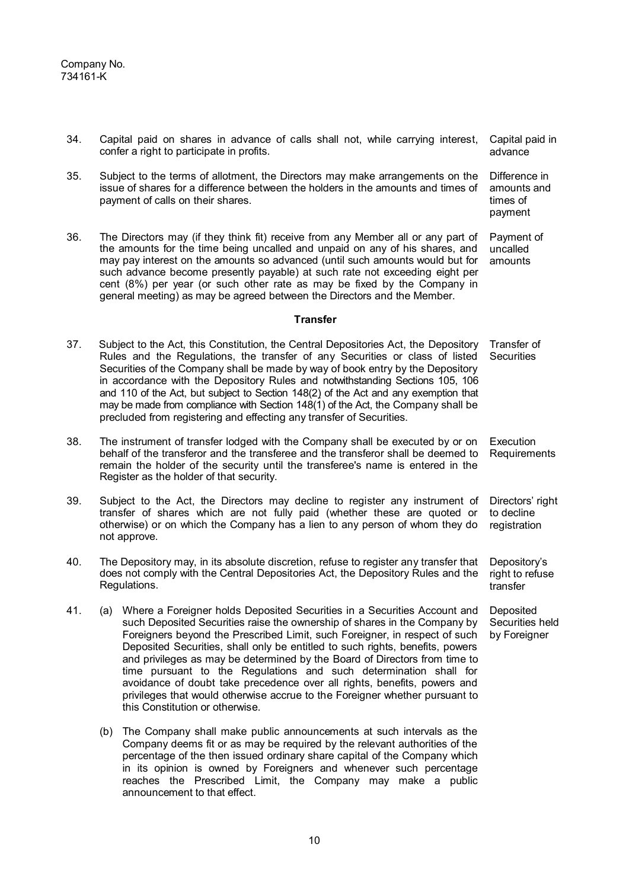| 34. |                                                                                                                                                                                                                                                        | Capital paid on shares in advance of calls shall not, while carrying interest,<br>confer a right to participate in profits.                                                                                                                                                                                                                                                                                                                                                                                                                                                                                                                                               | Capital paid in<br>advance                          |
|-----|--------------------------------------------------------------------------------------------------------------------------------------------------------------------------------------------------------------------------------------------------------|---------------------------------------------------------------------------------------------------------------------------------------------------------------------------------------------------------------------------------------------------------------------------------------------------------------------------------------------------------------------------------------------------------------------------------------------------------------------------------------------------------------------------------------------------------------------------------------------------------------------------------------------------------------------------|-----------------------------------------------------|
| 35. |                                                                                                                                                                                                                                                        | Subject to the terms of allotment, the Directors may make arrangements on the<br>issue of shares for a difference between the holders in the amounts and times of<br>payment of calls on their shares.                                                                                                                                                                                                                                                                                                                                                                                                                                                                    | Difference in<br>amounts and<br>times of<br>payment |
| 36. |                                                                                                                                                                                                                                                        | The Directors may (if they think fit) receive from any Member all or any part of<br>the amounts for the time being uncalled and unpaid on any of his shares, and<br>may pay interest on the amounts so advanced (until such amounts would but for<br>such advance become presently payable) at such rate not exceeding eight per<br>cent (8%) per year (or such other rate as may be fixed by the Company in<br>general meeting) as may be agreed between the Directors and the Member.                                                                                                                                                                                   | Payment of<br>uncalled<br>amounts                   |
|     |                                                                                                                                                                                                                                                        | <b>Transfer</b>                                                                                                                                                                                                                                                                                                                                                                                                                                                                                                                                                                                                                                                           |                                                     |
| 37. |                                                                                                                                                                                                                                                        | Subject to the Act, this Constitution, the Central Depositories Act, the Depository<br>Rules and the Regulations, the transfer of any Securities or class of listed<br>Securities of the Company shall be made by way of book entry by the Depository<br>in accordance with the Depository Rules and notwithstanding Sections 105, 106<br>and 110 of the Act, but subject to Section 148(2) of the Act and any exemption that<br>may be made from compliance with Section 148(1) of the Act, the Company shall be<br>precluded from registering and effecting any transfer of Securities.                                                                                 | Transfer of<br><b>Securities</b>                    |
| 38. |                                                                                                                                                                                                                                                        | The instrument of transfer lodged with the Company shall be executed by or on<br>behalf of the transferor and the transferee and the transferor shall be deemed to<br>remain the holder of the security until the transferee's name is entered in the<br>Register as the holder of that security.                                                                                                                                                                                                                                                                                                                                                                         | Execution<br>Requirements                           |
| 39. | Subject to the Act, the Directors may decline to register any instrument of<br>transfer of shares which are not fully paid (whether these are quoted or<br>otherwise) or on which the Company has a lien to any person of whom they do<br>not approve. | Directors' right<br>to decline<br>registration                                                                                                                                                                                                                                                                                                                                                                                                                                                                                                                                                                                                                            |                                                     |
| 40. | The Depository may, in its absolute discretion, refuse to register any transfer that<br>does not comply with the Central Depositories Act, the Depository Rules and the<br>Regulations.                                                                |                                                                                                                                                                                                                                                                                                                                                                                                                                                                                                                                                                                                                                                                           | Depository's<br>right to refuse<br>transfer         |
| 41. |                                                                                                                                                                                                                                                        | (a) Where a Foreigner holds Deposited Securities in a Securities Account and<br>such Deposited Securities raise the ownership of shares in the Company by<br>Foreigners beyond the Prescribed Limit, such Foreigner, in respect of such<br>Deposited Securities, shall only be entitled to such rights, benefits, powers<br>and privileges as may be determined by the Board of Directors from time to<br>time pursuant to the Regulations and such determination shall for<br>avoidance of doubt take precedence over all rights, benefits, powers and<br>privileges that would otherwise accrue to the Foreigner whether pursuant to<br>this Constitution or otherwise. | Deposited<br>Securities held<br>by Foreigner        |
|     | (b)                                                                                                                                                                                                                                                    | The Company shall make public announcements at such intervals as the<br>Company deems fit or as may be required by the relevant authorities of the<br>percentage of the then issued ordinary share capital of the Company which                                                                                                                                                                                                                                                                                                                                                                                                                                           |                                                     |

in its opinion is owned by Foreigners and whenever such percentage reaches the Prescribed Limit, the Company may make a public

announcement to that effect.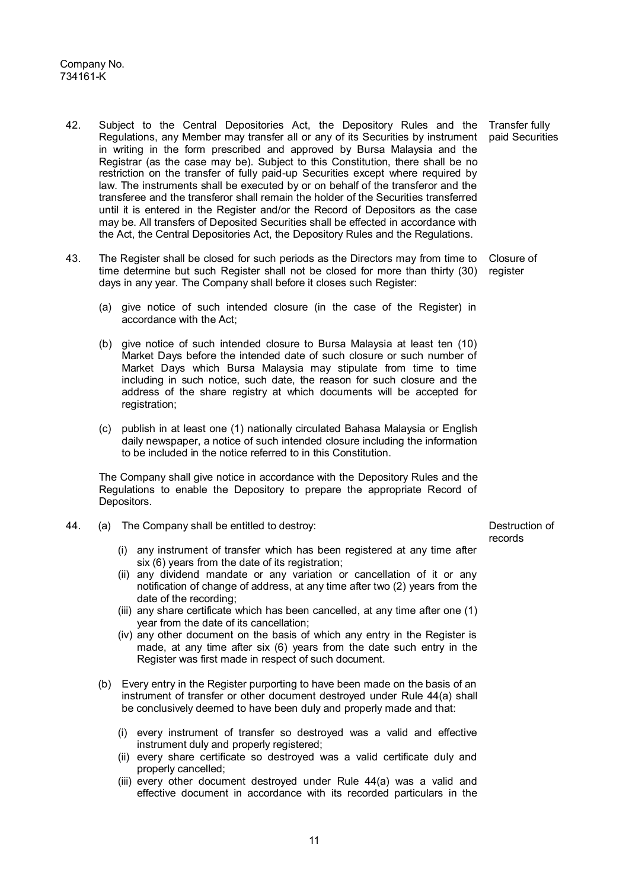- 42. Subject to the Central Depositories Act, the Depository Rules and the Regulations, any Member may transfer all or any of its Securities by instrument in writing in the form prescribed and approved by Bursa Malaysia and the Registrar (as the case may be). Subject to this Constitution, there shall be no restriction on the transfer of fully paid-up Securities except where required by law. The instruments shall be executed by or on behalf of the transferor and the transferee and the transferor shall remain the holder of the Securities transferred until it is entered in the Register and/or the Record of Depositors as the case may be. All transfers of Deposited Securities shall be effected in accordance with the Act, the Central Depositories Act, the Depository Rules and the Regulations. Transfer fully paid Securities
- 43. The Register shall be closed for such periods as the Directors may from time to Closure of time determine but such Register shall not be closed for more than thirty (30) register days in any year. The Company shall before it closes such Register:
	- (a) give notice of such intended closure (in the case of the Register) in accordance with the Act;
	- (b) give notice of such intended closure to Bursa Malaysia at least ten (10) Market Days before the intended date of such closure or such number of Market Days which Bursa Malaysia may stipulate from time to time including in such notice, such date, the reason for such closure and the address of the share registry at which documents will be accepted for registration:
	- (c) publish in at least one (1) nationally circulated Bahasa Malaysia or English daily newspaper, a notice of such intended closure including the information to be included in the notice referred to in this Constitution.

The Company shall give notice in accordance with the Depository Rules and the Regulations to enable the Depository to prepare the appropriate Record of Depositors.

- 44. (a) The Company shall be entitled to destroy:
	- (i) any instrument of transfer which has been registered at any time after six (6) years from the date of its registration;
	- (ii) any dividend mandate or any variation or cancellation of it or any notification of change of address, at any time after two (2) years from the date of the recording;
	- (iii) any share certificate which has been cancelled, at any time after one (1) year from the date of its cancellation;
	- (iv) any other document on the basis of which any entry in the Register is made, at any time after six (6) years from the date such entry in the Register was first made in respect of such document.
	- (b) Every entry in the Register purporting to have been made on the basis of an instrument of transfer or other document destroyed under Rule 44(a) shall be conclusively deemed to have been duly and properly made and that:
		- (i) every instrument of transfer so destroyed was a valid and effective instrument duly and properly registered;
		- (ii) every share certificate so destroyed was a valid certificate duly and properly cancelled;
		- (iii) every other document destroyed under Rule 44(a) was a valid and effective document in accordance with its recorded particulars in the

Destruction of records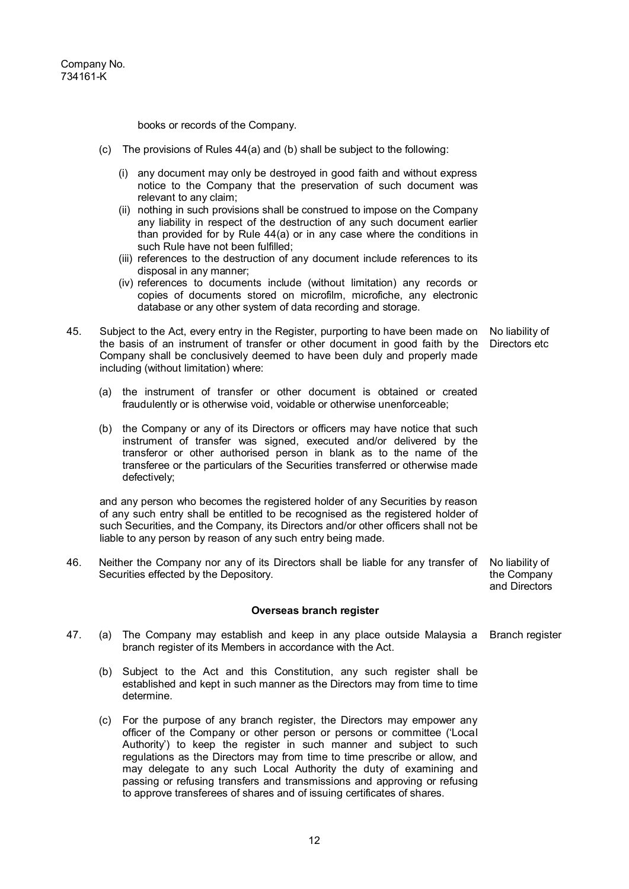books or records of the Company.

- (c) The provisions of Rules 44(a) and (b) shall be subject to the following:
	- (i) any document may only be destroyed in good faith and without express notice to the Company that the preservation of such document was relevant to any claim;
	- (ii) nothing in such provisions shall be construed to impose on the Company any liability in respect of the destruction of any such document earlier than provided for by Rule 44(a) or in any case where the conditions in such Rule have not been fulfilled;
	- (iii) references to the destruction of any document include references to its disposal in any manner;
	- (iv) references to documents include (without limitation) any records or copies of documents stored on microfilm, microfiche, any electronic database or any other system of data recording and storage.
- 45. Subject to the Act, every entry in the Register, purporting to have been made on the basis of an instrument of transfer or other document in good faith by the Company shall be conclusively deemed to have been duly and properly made including (without limitation) where:
	- (a) the instrument of transfer or other document is obtained or created fraudulently or is otherwise void, voidable or otherwise unenforceable;
	- (b) the Company or any of its Directors or officers may have notice that such instrument of transfer was signed, executed and/or delivered by the transferor or other authorised person in blank as to the name of the transferee or the particulars of the Securities transferred or otherwise made defectively;

and any person who becomes the registered holder of any Securities by reason of any such entry shall be entitled to be recognised as the registered holder of such Securities, and the Company, its Directors and/or other officers shall not be liable to any person by reason of any such entry being made.

46. Neither the Company nor any of its Directors shall be liable for any transfer of Securities effected by the Depository.

the Company and Directors

#### **Overseas branch register**

- 47. (a) The Company may establish and keep in any place outside Malaysia a Branch register branch register of its Members in accordance with the Act.
	- (b) Subject to the Act and this Constitution, any such register shall be established and kept in such manner as the Directors may from time to time determine.
	- (c) For the purpose of any branch register, the Directors may empower any officer of the Company or other person or persons or committee ('Local Authority') to keep the register in such manner and subject to such regulations as the Directors may from time to time prescribe or allow, and may delegate to any such Local Authority the duty of examining and passing or refusing transfers and transmissions and approving or refusing to approve transferees of shares and of issuing certificates of shares.

No liability of Directors etc

No liability of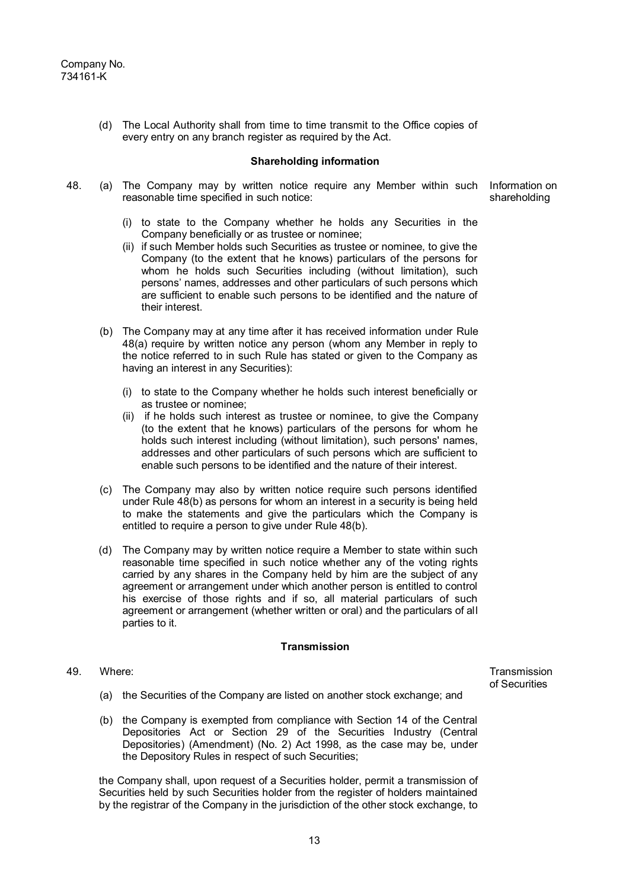(d) The Local Authority shall from time to time transmit to the Office copies of every entry on any branch register as required by the Act.

#### **Shareholding information**

48. (a) The Company may by written notice require any Member within such Information on reasonable time specified in such notice:

shareholding

- (i) to state to the Company whether he holds any Securities in the Company beneficially or as trustee or nominee;
- (ii) if such Member holds such Securities as trustee or nominee, to give the Company (to the extent that he knows) particulars of the persons for whom he holds such Securities including (without limitation), such persons' names, addresses and other particulars of such persons which are sufficient to enable such persons to be identified and the nature of their interest.
- (b) The Company may at any time after it has received information under Rule 48(a) require by written notice any person (whom any Member in reply to the notice referred to in such Rule has stated or given to the Company as having an interest in any Securities):
	- (i) to state to the Company whether he holds such interest beneficially or as trustee or nominee;
	- (ii) if he holds such interest as trustee or nominee, to give the Company (to the extent that he knows) particulars of the persons for whom he holds such interest including (without limitation), such persons' names, addresses and other particulars of such persons which are sufficient to enable such persons to be identified and the nature of their interest.
- (c) The Company may also by written notice require such persons identified under Rule 48(b) as persons for whom an interest in a security is being held to make the statements and give the particulars which the Company is entitled to require a person to give under Rule 48(b).
- (d) The Company may by written notice require a Member to state within such reasonable time specified in such notice whether any of the voting rights carried by any shares in the Company held by him are the subject of any agreement or arrangement under which another person is entitled to control his exercise of those rights and if so, all material particulars of such agreement or arrangement (whether written or oral) and the particulars of all parties to it.

#### **Transmission**

49. Where:

**Transmission** of Securities

- (a) the Securities of the Company are listed on another stock exchange; and
- (b) the Company is exempted from compliance with Section 14 of the Central Depositories Act or Section 29 of the Securities Industry (Central Depositories) (Amendment) (No. 2) Act 1998, as the case may be, under the Depository Rules in respect of such Securities;

the Company shall, upon request of a Securities holder, permit a transmission of Securities held by such Securities holder from the register of holders maintained by the registrar of the Company in the jurisdiction of the other stock exchange, to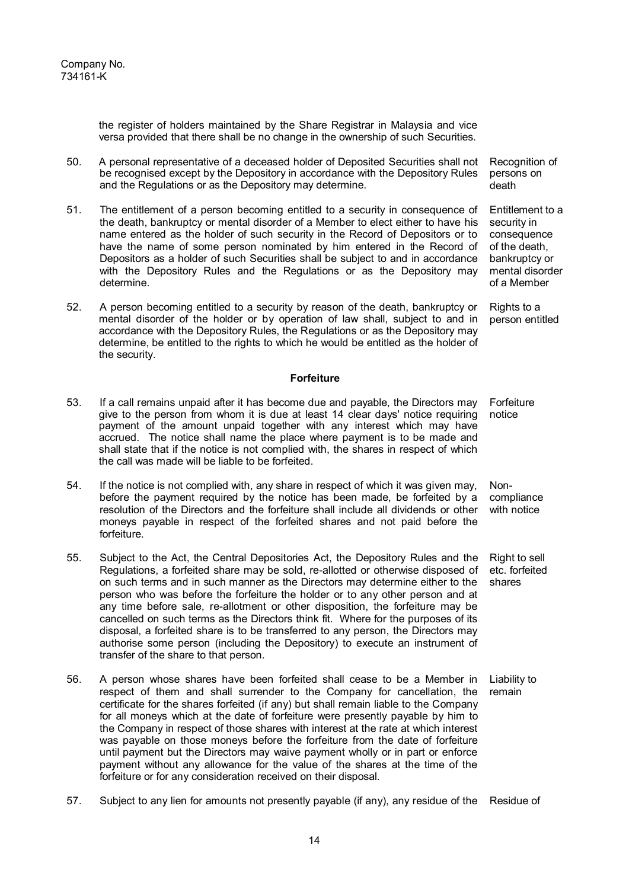the register of holders maintained by the Share Registrar in Malaysia and vice versa provided that there shall be no change in the ownership of such Securities.

- 50. A personal representative of a deceased holder of Deposited Securities shall not be recognised except by the Depository in accordance with the Depository Rules and the Regulations or as the Depository may determine. Recognition of persons on death
- 51. The entitlement of a person becoming entitled to a security in consequence of the death, bankruptcy or mental disorder of a Member to elect either to have his name entered as the holder of such security in the Record of Depositors or to have the name of some person nominated by him entered in the Record of Depositors as a holder of such Securities shall be subject to and in accordance with the Depository Rules and the Regulations or as the Depository may determine.
- 52. A person becoming entitled to a security by reason of the death, bankruptcy or mental disorder of the holder or by operation of law shall, subject to and in accordance with the Depository Rules, the Regulations or as the Depository may determine, be entitled to the rights to which he would be entitled as the holder of the security. Rights to a person entitled

#### **Forfeiture**

- 53. If a call remains unpaid after it has become due and payable, the Directors may give to the person from whom it is due at least 14 clear days' notice requiring payment of the amount unpaid together with any interest which may have accrued. The notice shall name the place where payment is to be made and shall state that if the notice is not complied with, the shares in respect of which the call was made will be liable to be forfeited. notice
- 54. If the notice is not complied with, any share in respect of which it was given may, before the payment required by the notice has been made, be forfeited by a resolution of the Directors and the forfeiture shall include all dividends or other moneys payable in respect of the forfeited shares and not paid before the forfeiture.
- 55. Subject to the Act, the Central Depositories Act, the Depository Rules and the Regulations, a forfeited share may be sold, re-allotted or otherwise disposed of on such terms and in such manner as the Directors may determine either to the person who was before the forfeiture the holder or to any other person and at any time before sale, re-allotment or other disposition, the forfeiture may be cancelled on such terms as the Directors think fit. Where for the purposes of its disposal, a forfeited share is to be transferred to any person, the Directors may authorise some person (including the Depository) to execute an instrument of transfer of the share to that person.
- 56. A person whose shares have been forfeited shall cease to be a Member in respect of them and shall surrender to the Company for cancellation, the certificate for the shares forfeited (if any) but shall remain liable to the Company for all moneys which at the date of forfeiture were presently payable by him to the Company in respect of those shares with interest at the rate at which interest was payable on those moneys before the forfeiture from the date of forfeiture until payment but the Directors may waive payment wholly or in part or enforce payment without any allowance for the value of the shares at the time of the forfeiture or for any consideration received on their disposal. remain
- 57. Subject to any lien for amounts not presently payable (if any), any residue of the Residue of

Forfeiture

Entitlement to a security in consequence of the death, bankruptcy or mental disorder of a Member

Noncompliance with notice

Right to sell etc. forfeited shares

Liability to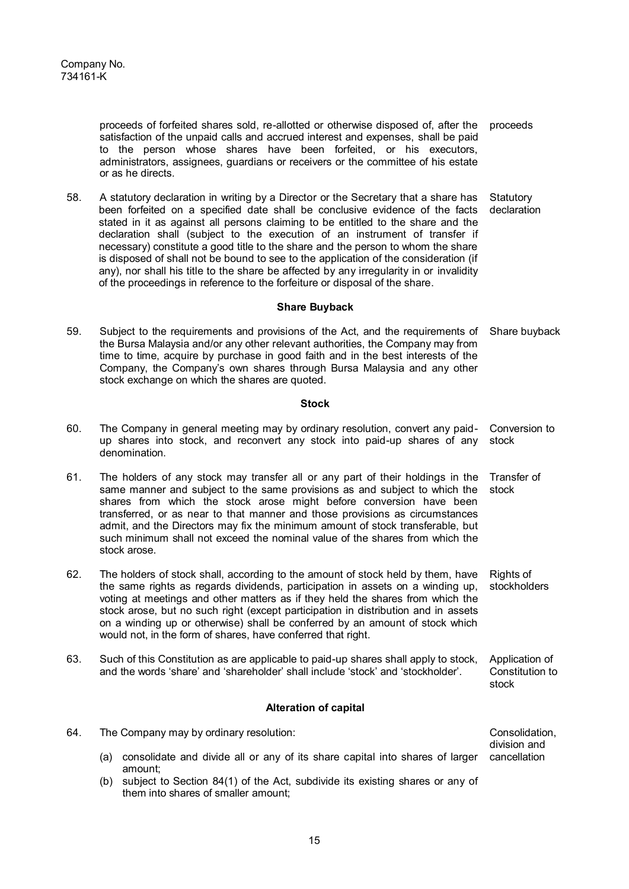proceeds of forfeited shares sold, re-allotted or otherwise disposed of, after the satisfaction of the unpaid calls and accrued interest and expenses, shall be paid to the person whose shares have been forfeited, or his executors, administrators, assignees, guardians or receivers or the committee of his estate or as he directs. proceeds

58. A statutory declaration in writing by a Director or the Secretary that a share has been forfeited on a specified date shall be conclusive evidence of the facts stated in it as against all persons claiming to be entitled to the share and the declaration shall (subject to the execution of an instrument of transfer if necessary) constitute a good title to the share and the person to whom the share is disposed of shall not be bound to see to the application of the consideration (if any), nor shall his title to the share be affected by any irregularity in or invalidity of the proceedings in reference to the forfeiture or disposal of the share. **Statutory** declaration

### **Share Buyback**

59. Subject to the requirements and provisions of the Act, and the requirements of the Bursa Malaysia and/or any other relevant authorities, the Company may from time to time, acquire by purchase in good faith and in the best interests of the Company, the Company's own shares through Bursa Malaysia and any other stock exchange on which the shares are quoted. Share buyback

#### **Stock**

- 60. The Company in general meeting may by ordinary resolution, convert any paidup shares into stock, and reconvert any stock into paid-up shares of any denomination. Conversion to stock
- 61. The holders of any stock may transfer all or any part of their holdings in the same manner and subject to the same provisions as and subject to which the shares from which the stock arose might before conversion have been transferred, or as near to that manner and those provisions as circumstances admit, and the Directors may fix the minimum amount of stock transferable, but such minimum shall not exceed the nominal value of the shares from which the stock arose. Transfer of stock
- 62. The holders of stock shall, according to the amount of stock held by them, have the same rights as regards dividends, participation in assets on a winding up, voting at meetings and other matters as if they held the shares from which the stock arose, but no such right (except participation in distribution and in assets on a winding up or otherwise) shall be conferred by an amount of stock which would not, in the form of shares, have conferred that right. Rights of stockholders
- 63. Such of this Constitution as are applicable to paid-up shares shall apply to stock, and the words 'share' and 'shareholder' shall include 'stock' and 'stockholder'. Application of Constitution to stock

#### **Alteration of capital**

- 64. The Company may by ordinary resolution: (a) consolidate and divide all or any of its share capital into shares of larger cancellation amount; Consolidation, division and
	- (b) subject to Section 84(1) of the Act, subdivide its existing shares or any of them into shares of smaller amount;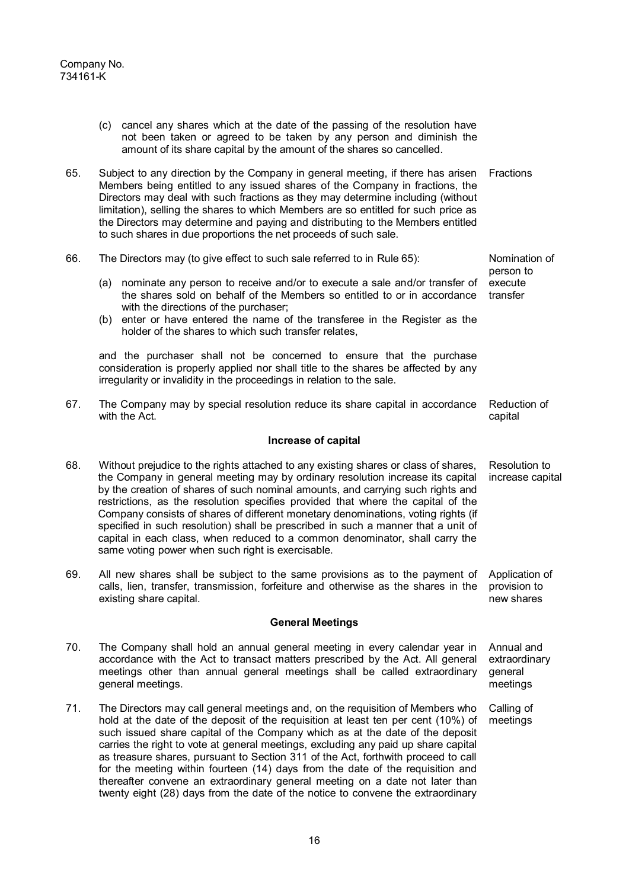|                         | (c) cancel any shares which at the date of the passing of the resolution have<br>not been taken or agreed to be taken by any person and diminish the<br>amount of its share capital by the amount of the shares so cancelled.                                                                                                                                                                                                                                                                                                                                                                                                                               |                                                    |  |  |
|-------------------------|-------------------------------------------------------------------------------------------------------------------------------------------------------------------------------------------------------------------------------------------------------------------------------------------------------------------------------------------------------------------------------------------------------------------------------------------------------------------------------------------------------------------------------------------------------------------------------------------------------------------------------------------------------------|----------------------------------------------------|--|--|
| 65.                     | Subject to any direction by the Company in general meeting, if there has arisen<br>Members being entitled to any issued shares of the Company in fractions, the<br>Directors may deal with such fractions as they may determine including (without<br>limitation), selling the shares to which Members are so entitled for such price as<br>the Directors may determine and paying and distributing to the Members entitled<br>to such shares in due proportions the net proceeds of such sale.                                                                                                                                                             | Fractions                                          |  |  |
| 66.                     | The Directors may (to give effect to such sale referred to in Rule 65):                                                                                                                                                                                                                                                                                                                                                                                                                                                                                                                                                                                     | Nomination of<br>person to                         |  |  |
|                         | nominate any person to receive and/or to execute a sale and/or transfer of<br>(a)<br>the shares sold on behalf of the Members so entitled to or in accordance<br>with the directions of the purchaser;<br>(b) enter or have entered the name of the transferee in the Register as the<br>holder of the shares to which such transfer relates,                                                                                                                                                                                                                                                                                                               | execute<br>transfer                                |  |  |
|                         | and the purchaser shall not be concerned to ensure that the purchase<br>consideration is properly applied nor shall title to the shares be affected by any<br>irregularity or invalidity in the proceedings in relation to the sale.                                                                                                                                                                                                                                                                                                                                                                                                                        |                                                    |  |  |
| 67.                     | The Company may by special resolution reduce its share capital in accordance<br>with the Act.                                                                                                                                                                                                                                                                                                                                                                                                                                                                                                                                                               | Reduction of<br>capital                            |  |  |
|                         | Increase of capital                                                                                                                                                                                                                                                                                                                                                                                                                                                                                                                                                                                                                                         |                                                    |  |  |
| 68.                     | Without prejudice to the rights attached to any existing shares or class of shares,<br>the Company in general meeting may by ordinary resolution increase its capital<br>by the creation of shares of such nominal amounts, and carrying such rights and<br>restrictions, as the resolution specifies provided that where the capital of the<br>Company consists of shares of different monetary denominations, voting rights (if<br>specified in such resolution) shall be prescribed in such a manner that a unit of<br>capital in each class, when reduced to a common denominator, shall carry the<br>same voting power when such right is exercisable. | Resolution to<br>increase capital                  |  |  |
| 69.                     | All new shares shall be subject to the same provisions as to the payment of Application of<br>calls, lien, transfer, transmission, forfeiture and otherwise as the shares in the provision to<br>existing share capital.                                                                                                                                                                                                                                                                                                                                                                                                                                    | new shares                                         |  |  |
| <b>General Meetings</b> |                                                                                                                                                                                                                                                                                                                                                                                                                                                                                                                                                                                                                                                             |                                                    |  |  |
| 70.                     | The Company shall hold an annual general meeting in every calendar year in<br>accordance with the Act to transact matters prescribed by the Act. All general<br>meetings other than annual general meetings shall be called extraordinary<br>general meetings.                                                                                                                                                                                                                                                                                                                                                                                              | Annual and<br>extraordinary<br>general<br>meetings |  |  |
| 71.                     | The Directors may call general meetings and, on the requisition of Members who<br>hold at the date of the deposit of the requisition at least ten per cent (10%) of<br>such issued share capital of the Company which as at the date of the deposit<br>carries the right to vote at general meetings, excluding any paid up share capital<br>as treasure shares, pursuant to Section 311 of the Act, forthwith proceed to call<br>for the meeting within fourteen (14) days from the date of the requisition and<br>thereafter convene an extraordinary general meeting on a date not later than                                                            | Calling of<br>meetings                             |  |  |

twenty eight (28) days from the date of the notice to convene the extraordinary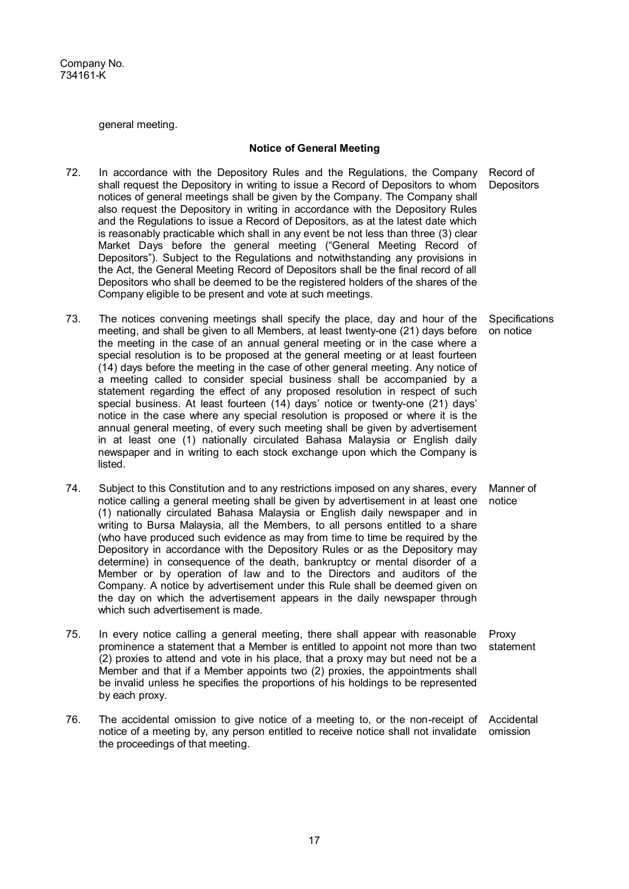general meeting.

#### **Notice of General Meeting**

- 72. In accordance with the Depository Rules and the Regulations, the Company shall request the Depository in writing to issue a Record of Depositors to whom notices of general meetings shall be given by the Company. The Company shall also request the Depository in writing in accordance with the Depository Rules and the Regulations to issue a Record of Depositors, as at the latest date which is reasonably practicable which shall in any event be not less than three (3) clear Market Days before the general meeting ("General Meeting Record of Depositors"). Subject to the Regulations and notwithstanding any provisions in the Act, the General Meeting Record of Depositors shall be the final record of all Depositors who shall be deemed to be the registered holders of the shares of the Company eligible to be present and vote at such meetings.
- 73. The notices convening meetings shall specify the place, day and hour of the meeting, and shall be given to all Members, at least twenty-one (21) days before the meeting in the case of an annual general meeting or in the case where a special resolution is to be proposed at the general meeting or at least fourteen (14) days before the meeting in the case of other general meeting. Any notice of a meeting called to consider special business shall be accompanied by a statement regarding the effect of any proposed resolution in respect of such special business. At least fourteen (14) days' notice or twenty-one (21) days' notice in the case where any special resolution is proposed or where it is the annual general meeting, of every such meeting shall be given by advertisement in at least one (1) nationally circulated Bahasa Malaysia or English daily newspaper and in writing to each stock exchange upon which the Company is listed.
- 74. Subject to this Constitution and to any restrictions imposed on any shares, every notice calling a general meeting shall be given by advertisement in at least one (1) nationally circulated Bahasa Malaysia or English daily newspaper and in writing to Bursa Malaysia, all the Members, to all persons entitled to a share (who have produced such evidence as may from time to time be required by the Depository in accordance with the Depository Rules or as the Depository may determine) in consequence of the death, bankruptcy or mental disorder of a Member or by operation of law and to the Directors and auditors of the Company. A notice by advertisement under this Rule shall be deemed given on the day on which the advertisement appears in the daily newspaper through which such advertisement is made. notice
- 75. In every notice calling a general meeting, there shall appear with reasonable prominence a statement that a Member is entitled to appoint not more than two (2) proxies to attend and vote in his place, that a proxy may but need not be a Member and that if a Member appoints two (2) proxies, the appointments shall be invalid unless he specifies the proportions of his holdings to be represented by each proxy. Proxy statement
- 76. The accidental omission to give notice of a meeting to, or the non-receipt of notice of a meeting by, any person entitled to receive notice shall not invalidate the proceedings of that meeting. Accidental omission

Record of **Depositors** 

**Specifications** on notice

Manner of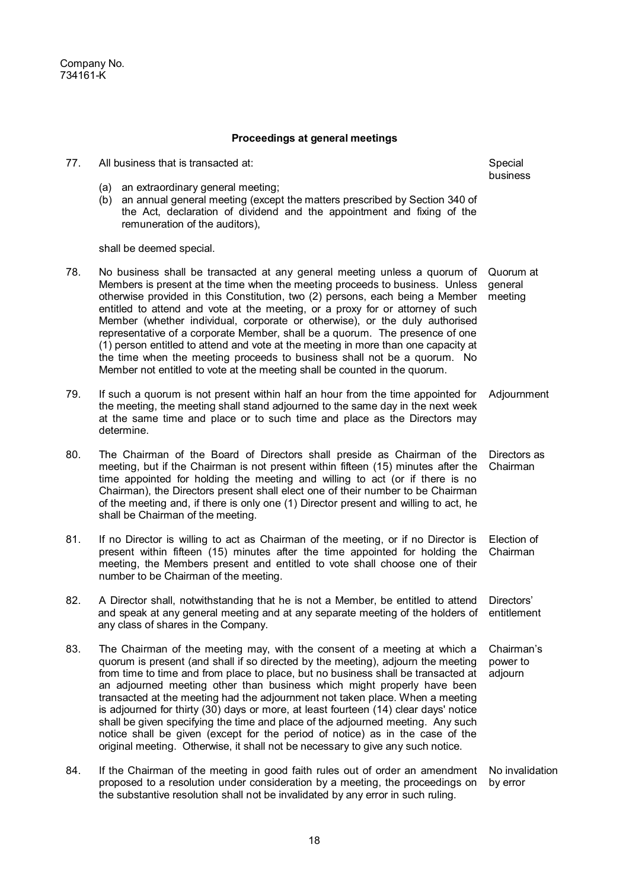Company No. 734161-K

#### **Proceedings at general meetings**

77. All business that is transacted at: (a) an extraordinary general meeting; (b) an annual general meeting (except the matters prescribed by Section 340 of the Act, declaration of dividend and the appointment and fixing of the remuneration of the auditors), shall be deemed special. Special business 78. No business shall be transacted at any general meeting unless a quorum of Members is present at the time when the meeting proceeds to business. Unless otherwise provided in this Constitution, two (2) persons, each being a Member entitled to attend and vote at the meeting, or a proxy for or attorney of such Member (whether individual, corporate or otherwise), or the duly authorised representative of a corporate Member, shall be a quorum. The presence of one (1) person entitled to attend and vote at the meeting in more than one capacity at the time when the meeting proceeds to business shall not be a quorum. No Member not entitled to vote at the meeting shall be counted in the quorum. Quorum at general meeting 79. If such a quorum is not present within half an hour from the time appointed for the meeting, the meeting shall stand adjourned to the same day in the next week at the same time and place or to such time and place as the Directors may determine. **Adiournment** 80. The Chairman of the Board of Directors shall preside as Chairman of the meeting, but if the Chairman is not present within fifteen (15) minutes after the time appointed for holding the meeting and willing to act (or if there is no Chairman), the Directors present shall elect one of their number to be Chairman of the meeting and, if there is only one (1) Director present and willing to act, he shall be Chairman of the meeting. Directors as Chairman 81. If no Director is willing to act as Chairman of the meeting, or if no Director is present within fifteen (15) minutes after the time appointed for holding the meeting, the Members present and entitled to vote shall choose one of their number to be Chairman of the meeting. Election of Chairman 82. A Director shall, notwithstanding that he is not a Member, be entitled to attend and speak at any general meeting and at any separate meeting of the holders of any class of shares in the Company. Directors' entitlement 83. The Chairman of the meeting may, with the consent of a meeting at which a quorum is present (and shall if so directed by the meeting), adjourn the meeting from time to time and from place to place, but no business shall be transacted at an adjourned meeting other than business which might properly have been transacted at the meeting had the adjournment not taken place. When a meeting is adjourned for thirty (30) days or more, at least fourteen (14) clear days' notice shall be given specifying the time and place of the adjourned meeting. Any such notice shall be given (except for the period of notice) as in the case of the original meeting. Otherwise, it shall not be necessary to give any such notice. Chairman's power to adjourn 84. If the Chairman of the meeting in good faith rules out of order an amendment proposed to a resolution under consideration by a meeting, the proceedings on the substantive resolution shall not be invalidated by any error in such ruling. No invalidation by error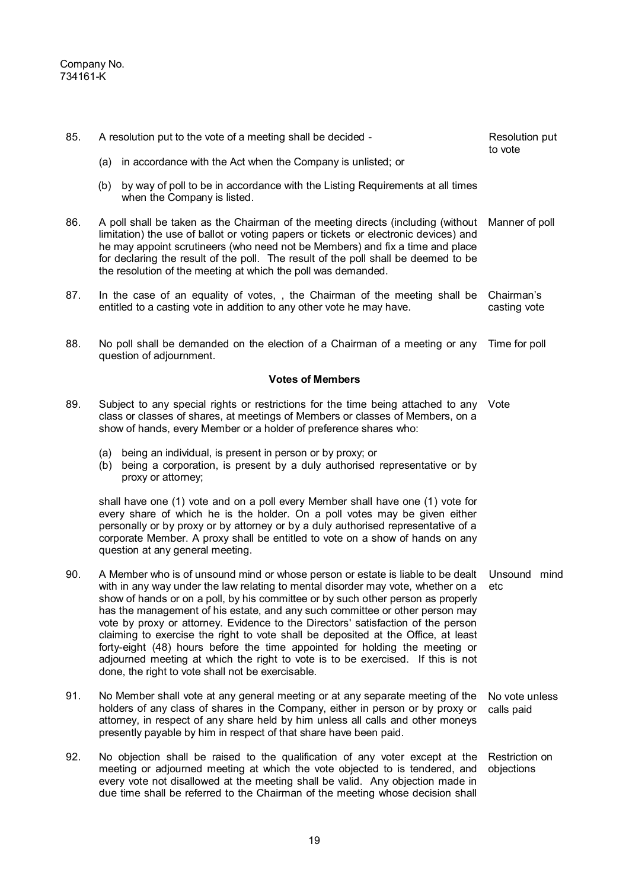| 85. | A resolution put to the vote of a meeting shall be decided -                                                                                                                                                                                                                                                                                                                                                                                                                                                                                                                                                                                                                                                                            | Resolution put<br>to vote    |
|-----|-----------------------------------------------------------------------------------------------------------------------------------------------------------------------------------------------------------------------------------------------------------------------------------------------------------------------------------------------------------------------------------------------------------------------------------------------------------------------------------------------------------------------------------------------------------------------------------------------------------------------------------------------------------------------------------------------------------------------------------------|------------------------------|
|     | in accordance with the Act when the Company is unlisted; or<br>(a)                                                                                                                                                                                                                                                                                                                                                                                                                                                                                                                                                                                                                                                                      |                              |
|     | by way of poll to be in accordance with the Listing Requirements at all times<br>(b)<br>when the Company is listed.                                                                                                                                                                                                                                                                                                                                                                                                                                                                                                                                                                                                                     |                              |
| 86. | A poll shall be taken as the Chairman of the meeting directs (including (without<br>limitation) the use of ballot or voting papers or tickets or electronic devices) and<br>he may appoint scrutineers (who need not be Members) and fix a time and place<br>for declaring the result of the poll. The result of the poll shall be deemed to be<br>the resolution of the meeting at which the poll was demanded.                                                                                                                                                                                                                                                                                                                        | Manner of poll               |
| 87. | In the case of an equality of votes,, the Chairman of the meeting shall be<br>entitled to a casting vote in addition to any other vote he may have.                                                                                                                                                                                                                                                                                                                                                                                                                                                                                                                                                                                     | Chairman's<br>casting vote   |
| 88. | No poll shall be demanded on the election of a Chairman of a meeting or any<br>question of adjournment.                                                                                                                                                                                                                                                                                                                                                                                                                                                                                                                                                                                                                                 | Time for poll                |
|     | <b>Votes of Members</b>                                                                                                                                                                                                                                                                                                                                                                                                                                                                                                                                                                                                                                                                                                                 |                              |
| 89. | Subject to any special rights or restrictions for the time being attached to any<br>class or classes of shares, at meetings of Members or classes of Members, on a<br>show of hands, every Member or a holder of preference shares who:                                                                                                                                                                                                                                                                                                                                                                                                                                                                                                 | Vote                         |
|     | being an individual, is present in person or by proxy; or<br>(a)<br>being a corporation, is present by a duly authorised representative or by<br>(b)<br>proxy or attorney;                                                                                                                                                                                                                                                                                                                                                                                                                                                                                                                                                              |                              |
|     | shall have one (1) vote and on a poll every Member shall have one (1) vote for<br>every share of which he is the holder. On a poll votes may be given either<br>personally or by proxy or by attorney or by a duly authorised representative of a<br>corporate Member. A proxy shall be entitled to vote on a show of hands on any<br>question at any general meeting.                                                                                                                                                                                                                                                                                                                                                                  |                              |
| 90. | A Member who is of unsound mind or whose person or estate is liable to be dealt<br>with in any way under the law relating to mental disorder may vote, whether on a<br>show of hands or on a poll, by his committee or by such other person as properly<br>has the management of his estate, and any such committee or other person may<br>vote by proxy or attorney. Evidence to the Directors' satisfaction of the person<br>claiming to exercise the right to vote shall be deposited at the Office, at least<br>forty-eight (48) hours before the time appointed for holding the meeting or<br>adjourned meeting at which the right to vote is to be exercised. If this is not<br>done, the right to vote shall not be exercisable. | Unsound mind<br>etc          |
| 91. | No Member shall vote at any general meeting or at any separate meeting of the<br>holders of any class of shares in the Company, either in person or by proxy or<br>attorney, in respect of any share held by him unless all calls and other moneys<br>presently payable by him in respect of that share have been paid.                                                                                                                                                                                                                                                                                                                                                                                                                 | No vote unless<br>calls paid |
| 92. | No objection shall be raised to the qualification of any voter except at the<br>meeting or adjourned meeting at which the vote objected to is tendered, and<br>every vote not disallowed at the meeting shall be valid. Any objection made in<br>due time shall be referred to the Chairman of the meeting whose decision shall                                                                                                                                                                                                                                                                                                                                                                                                         | Restriction on<br>objections |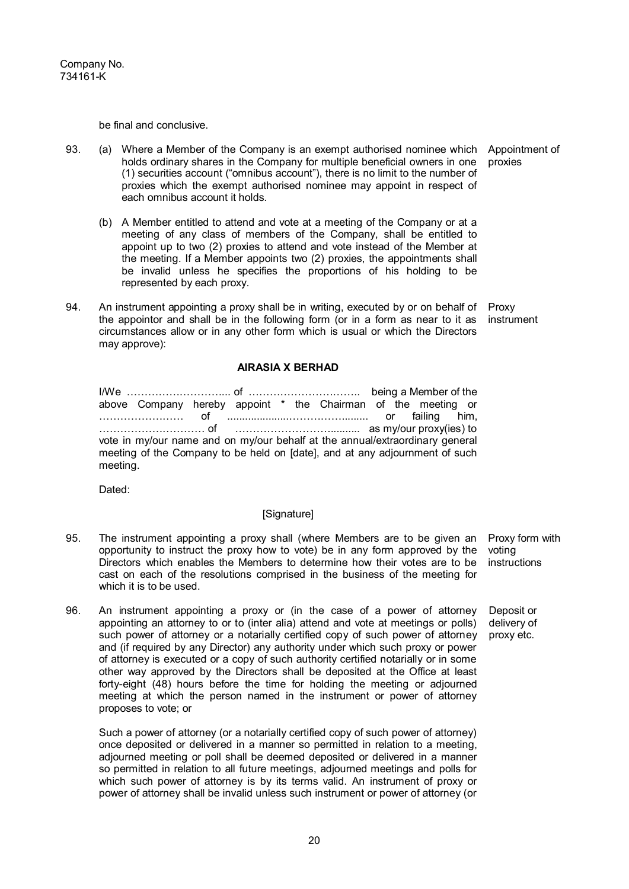be final and conclusive.

- 93. (a) Where a Member of the Company is an exempt authorised nominee which holds ordinary shares in the Company for multiple beneficial owners in one (1) securities account ("omnibus account"), there is no limit to the number of proxies which the exempt authorised nominee may appoint in respect of each omnibus account it holds.
	- (b) A Member entitled to attend and vote at a meeting of the Company or at a meeting of any class of members of the Company, shall be entitled to appoint up to two (2) proxies to attend and vote instead of the Member at the meeting. If a Member appoints two (2) proxies, the appointments shall be invalid unless he specifies the proportions of his holding to be represented by each proxy.
- 94. An instrument appointing a proxy shall be in writing, executed by or on behalf of the appointor and shall be in the following form (or in a form as near to it as circumstances allow or in any other form which is usual or which the Directors may approve): Proxy instrument

# **AIRASIA X BERHAD**

I/We ………………………... of ………………………….. being a Member of the above Company hereby appoint \* the Chairman of the meeting or …………………… of .....................……………......... or failing him, ………………………… of ……………………….......... as my/our proxy(ies) to vote in my/our name and on my/our behalf at the annual/extraordinary general meeting of the Company to be held on [date], and at any adjournment of such meeting.

Dated:

## [Signature]

- 95. The instrument appointing a proxy shall (where Members are to be given an opportunity to instruct the proxy how to vote) be in any form approved by the Directors which enables the Members to determine how their votes are to be cast on each of the resolutions comprised in the business of the meeting for which it is to be used. Proxy form with voting instructions
- 96. An instrument appointing a proxy or (in the case of a power of attorney appointing an attorney to or to (inter alia) attend and vote at meetings or polls) such power of attorney or a notarially certified copy of such power of attorney and (if required by any Director) any authority under which such proxy or power of attorney is executed or a copy of such authority certified notarially or in some other way approved by the Directors shall be deposited at the Office at least forty-eight (48) hours before the time for holding the meeting or adjourned meeting at which the person named in the instrument or power of attorney proposes to vote; or

Such a power of attorney (or a notarially certified copy of such power of attorney) once deposited or delivered in a manner so permitted in relation to a meeting, adjourned meeting or poll shall be deemed deposited or delivered in a manner so permitted in relation to all future meetings, adjourned meetings and polls for which such power of attorney is by its terms valid. An instrument of proxy or power of attorney shall be invalid unless such instrument or power of attorney (or

Deposit or delivery of proxy etc.

Appointment of proxies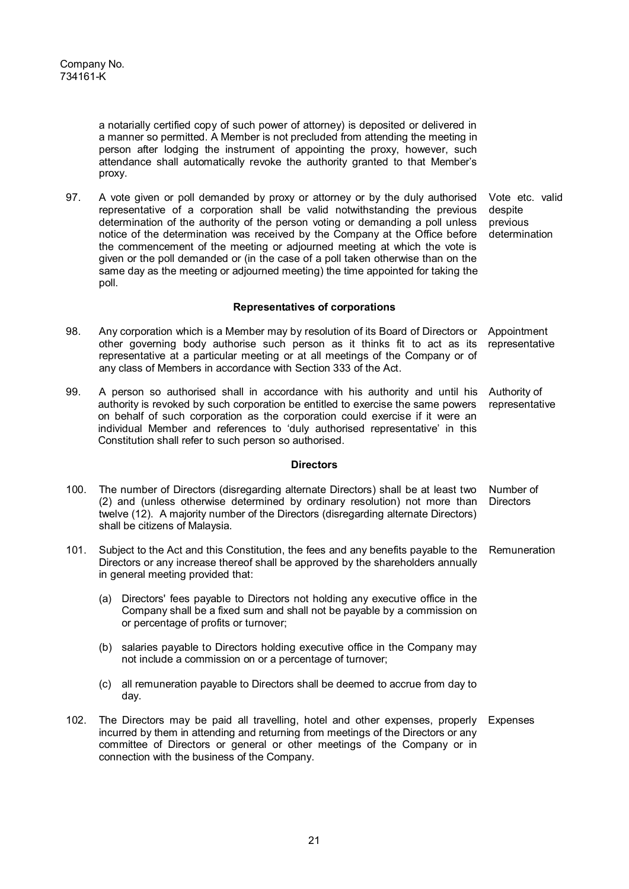a notarially certified copy of such power of attorney) is deposited or delivered in a manner so permitted. A Member is not precluded from attending the meeting in person after lodging the instrument of appointing the proxy, however, such attendance shall automatically revoke the authority granted to that Member's proxy.

97. A vote given or poll demanded by proxy or attorney or by the duly authorised representative of a corporation shall be valid notwithstanding the previous determination of the authority of the person voting or demanding a poll unless notice of the determination was received by the Company at the Office before the commencement of the meeting or adjourned meeting at which the vote is given or the poll demanded or (in the case of a poll taken otherwise than on the same day as the meeting or adjourned meeting) the time appointed for taking the poll. Vote etc. valid despite previous determination

## **Representatives of corporations**

- 98. Any corporation which is a Member may by resolution of its Board of Directors or other governing body authorise such person as it thinks fit to act as its representative at a particular meeting or at all meetings of the Company or of any class of Members in accordance with Section 333 of the Act. Appointment representative
- 99. A person so authorised shall in accordance with his authority and until his authority is revoked by such corporation be entitled to exercise the same powers on behalf of such corporation as the corporation could exercise if it were an individual Member and references to 'duly authorised representative' in this Constitution shall refer to such person so authorised. Authority of representative

## **Directors**

- 100. The number of Directors (disregarding alternate Directors) shall be at least two (2) and (unless otherwise determined by ordinary resolution) not more than twelve (12). A majority number of the Directors (disregarding alternate Directors) shall be citizens of Malaysia. Number of **Directors**
- 101. Subject to the Act and this Constitution, the fees and any benefits payable to the Remuneration Directors or any increase thereof shall be approved by the shareholders annually in general meeting provided that:
	- (a) Directors' fees payable to Directors not holding any executive office in the Company shall be a fixed sum and shall not be payable by a commission on or percentage of profits or turnover;
	- (b) salaries payable to Directors holding executive office in the Company may not include a commission on or a percentage of turnover;
	- (c) all remuneration payable to Directors shall be deemed to accrue from day to day.
- 102. The Directors may be paid all travelling, hotel and other expenses, properly Expenses incurred by them in attending and returning from meetings of the Directors or any committee of Directors or general or other meetings of the Company or in connection with the business of the Company.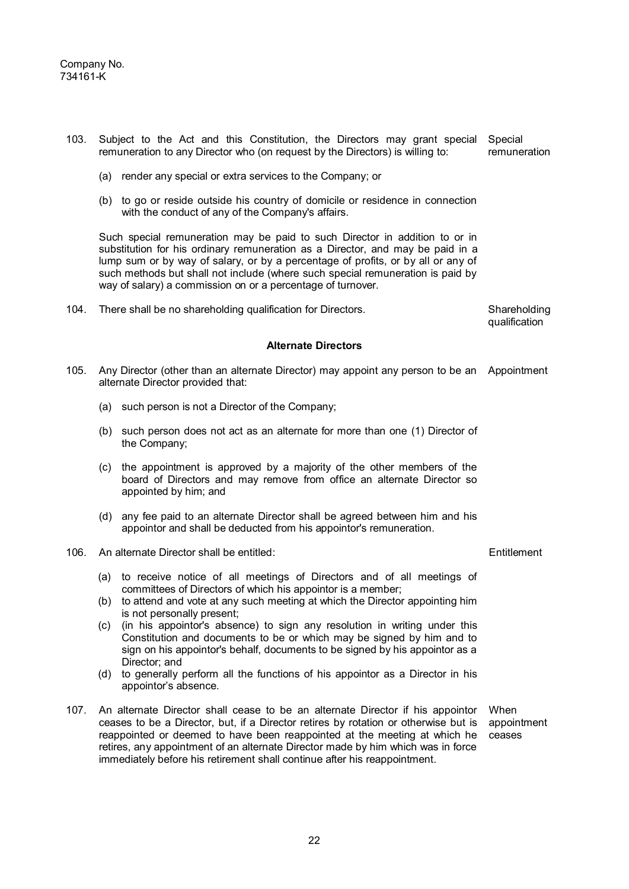| 103. | Subject to the Act and this Constitution, the Directors may grant special<br>remuneration to any Director who (on request by the Directors) is willing to: | Special<br>remuneration                                                                                                                                                                                                                                                                                                                                                                            |                               |
|------|------------------------------------------------------------------------------------------------------------------------------------------------------------|----------------------------------------------------------------------------------------------------------------------------------------------------------------------------------------------------------------------------------------------------------------------------------------------------------------------------------------------------------------------------------------------------|-------------------------------|
|      |                                                                                                                                                            | (a) render any special or extra services to the Company; or                                                                                                                                                                                                                                                                                                                                        |                               |
|      |                                                                                                                                                            | (b) to go or reside outside his country of domicile or residence in connection<br>with the conduct of any of the Company's affairs.                                                                                                                                                                                                                                                                |                               |
|      |                                                                                                                                                            | Such special remuneration may be paid to such Director in addition to or in<br>substitution for his ordinary remuneration as a Director, and may be paid in a<br>lump sum or by way of salary, or by a percentage of profits, or by all or any of<br>such methods but shall not include (where such special remuneration is paid by<br>way of salary) a commission on or a percentage of turnover. |                               |
| 104. |                                                                                                                                                            | There shall be no shareholding qualification for Directors.                                                                                                                                                                                                                                                                                                                                        | Shareholding<br>qualification |
|      |                                                                                                                                                            | <b>Alternate Directors</b>                                                                                                                                                                                                                                                                                                                                                                         |                               |
| 105. |                                                                                                                                                            | Any Director (other than an alternate Director) may appoint any person to be an Appointment<br>alternate Director provided that:                                                                                                                                                                                                                                                                   |                               |
|      |                                                                                                                                                            | (a) such person is not a Director of the Company;                                                                                                                                                                                                                                                                                                                                                  |                               |
|      |                                                                                                                                                            | (b) such person does not act as an alternate for more than one (1) Director of<br>the Company;                                                                                                                                                                                                                                                                                                     |                               |
|      | (c)                                                                                                                                                        | the appointment is approved by a majority of the other members of the<br>board of Directors and may remove from office an alternate Director so<br>appointed by him; and                                                                                                                                                                                                                           |                               |
|      |                                                                                                                                                            | (d) any fee paid to an alternate Director shall be agreed between him and his<br>appointor and shall be deducted from his appointor's remuneration.                                                                                                                                                                                                                                                |                               |
| 106. |                                                                                                                                                            | An alternate Director shall be entitled:                                                                                                                                                                                                                                                                                                                                                           | Entitlement                   |
|      | (a)                                                                                                                                                        | to receive notice of all meetings of Directors and of all meetings of<br>committees of Directors of which his appointor is a member;                                                                                                                                                                                                                                                               |                               |
|      |                                                                                                                                                            | (b) to attend and vote at any such meeting at which the Director appointing him<br>is not personally present;                                                                                                                                                                                                                                                                                      |                               |
|      | (c)                                                                                                                                                        | (in his appointor's absence) to sign any resolution in writing under this<br>Constitution and documents to be or which may be signed by him and to<br>sign on his appointor's behalf, documents to be signed by his appointor as a<br>Director; and                                                                                                                                                |                               |
|      | (d)                                                                                                                                                        | to generally perform all the functions of his appointor as a Director in his<br>appointor's absence.                                                                                                                                                                                                                                                                                               |                               |
| 107. |                                                                                                                                                            | An alternate Director shall cease to be an alternate Director if his appointor<br>ceases to be a Director, but, if a Director retires by rotation or otherwise but is<br>reappointed or deemed to have been reappointed at the meeting at which he<br>retires, any appointment of an alternate Director made by him which was in force                                                             | When<br>appointment<br>ceases |

immediately before his retirement shall continue after his reappointment.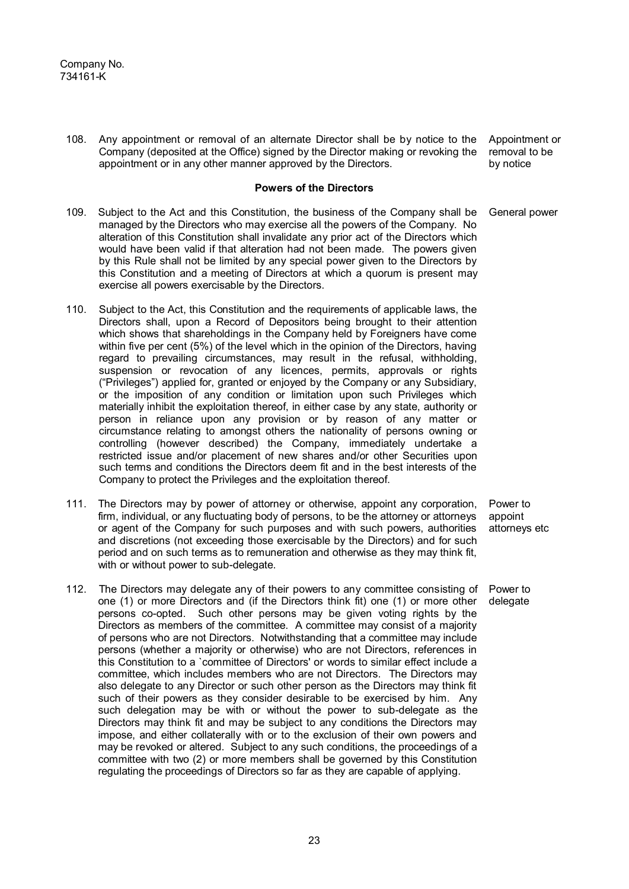108. Any appointment or removal of an alternate Director shall be by notice to the Company (deposited at the Office) signed by the Director making or revoking the appointment or in any other manner approved by the Directors.

## **Powers of the Directors**

- 109. Subject to the Act and this Constitution, the business of the Company shall be managed by the Directors who may exercise all the powers of the Company. No alteration of this Constitution shall invalidate any prior act of the Directors which would have been valid if that alteration had not been made. The powers given by this Rule shall not be limited by any special power given to the Directors by this Constitution and a meeting of Directors at which a quorum is present may exercise all powers exercisable by the Directors.
- 110. Subject to the Act, this Constitution and the requirements of applicable laws, the Directors shall, upon a Record of Depositors being brought to their attention which shows that shareholdings in the Company held by Foreigners have come within five per cent (5%) of the level which in the opinion of the Directors, having regard to prevailing circumstances, may result in the refusal, withholding, suspension or revocation of any licences, permits, approvals or rights ("Privileges") applied for, granted or enjoyed by the Company or any Subsidiary, or the imposition of any condition or limitation upon such Privileges which materially inhibit the exploitation thereof, in either case by any state, authority or person in reliance upon any provision or by reason of any matter or circumstance relating to amongst others the nationality of persons owning or controlling (however described) the Company, immediately undertake a restricted issue and/or placement of new shares and/or other Securities upon such terms and conditions the Directors deem fit and in the best interests of the Company to protect the Privileges and the exploitation thereof.
- 111. The Directors may by power of attorney or otherwise, appoint any corporation, firm, individual, or any fluctuating body of persons, to be the attorney or attorneys or agent of the Company for such purposes and with such powers, authorities and discretions (not exceeding those exercisable by the Directors) and for such period and on such terms as to remuneration and otherwise as they may think fit, with or without power to sub-delegate.
- 112. The Directors may delegate any of their powers to any committee consisting of one (1) or more Directors and (if the Directors think fit) one (1) or more other persons co-opted. Such other persons may be given voting rights by the Directors as members of the committee. A committee may consist of a majority of persons who are not Directors. Notwithstanding that a committee may include persons (whether a majority or otherwise) who are not Directors, references in this Constitution to a `committee of Directors' or words to similar effect include a committee, which includes members who are not Directors. The Directors may also delegate to any Director or such other person as the Directors may think fit such of their powers as they consider desirable to be exercised by him. Any such delegation may be with or without the power to sub-delegate as the Directors may think fit and may be subject to any conditions the Directors may impose, and either collaterally with or to the exclusion of their own powers and may be revoked or altered. Subject to any such conditions, the proceedings of a committee with two (2) or more members shall be governed by this Constitution regulating the proceedings of Directors so far as they are capable of applying.

Appointment or removal to be by notice

General power

Power to appoint attorneys etc

Power to delegate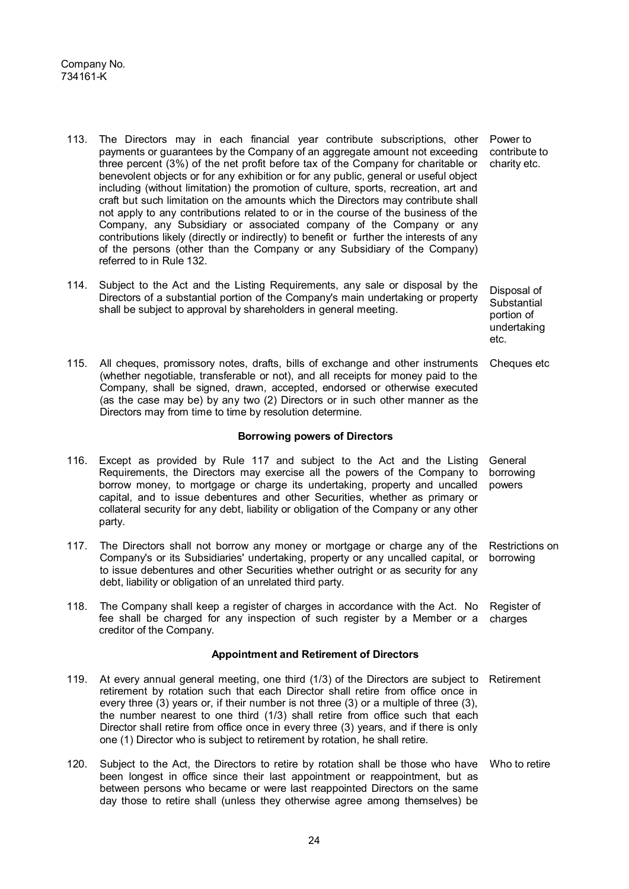- 113. The Directors may in each financial year contribute subscriptions, other payments or guarantees by the Company of an aggregate amount not exceeding three percent (3%) of the net profit before tax of the Company for charitable or benevolent objects or for any exhibition or for any public, general or useful object including (without limitation) the promotion of culture, sports, recreation, art and craft but such limitation on the amounts which the Directors may contribute shall not apply to any contributions related to or in the course of the business of the Company, any Subsidiary or associated company of the Company or any contributions likely (directly or indirectly) to benefit or further the interests of any of the persons (other than the Company or any Subsidiary of the Company) referred to in Rule 132. Power to contribute to charity etc.
- 114. Subject to the Act and the Listing Requirements, any sale or disposal by the Directors of a substantial portion of the Company's main undertaking or property shall be subject to approval by shareholders in general meeting. Disposal of **Substantial** portion of
- 115. All cheques, promissory notes, drafts, bills of exchange and other instruments Cheques etc (whether negotiable, transferable or not), and all receipts for money paid to the Company, shall be signed, drawn, accepted, endorsed or otherwise executed (as the case may be) by any two (2) Directors or in such other manner as the Directors may from time to time by resolution determine.

## **Borrowing powers of Directors**

undertaking

etc.

- 116. Except as provided by Rule 117 and subject to the Act and the Listing Requirements, the Directors may exercise all the powers of the Company to borrow money, to mortgage or charge its undertaking, property and uncalled capital, and to issue debentures and other Securities, whether as primary or collateral security for any debt, liability or obligation of the Company or any other party. General borrowing powers
- 117. The Directors shall not borrow any money or mortgage or charge any of the Company's or its Subsidiaries' undertaking, property or any uncalled capital, or to issue debentures and other Securities whether outright or as security for any debt, liability or obligation of an unrelated third party. Restrictions on borrowing
- 118. The Company shall keep a register of charges in accordance with the Act. No fee shall be charged for any inspection of such register by a Member or a creditor of the Company. Register of charges

## **Appointment and Retirement of Directors**

- 119. At every annual general meeting, one third (1/3) of the Directors are subject to Retirement retirement by rotation such that each Director shall retire from office once in every three (3) years or, if their number is not three (3) or a multiple of three (3), the number nearest to one third (1/3) shall retire from office such that each Director shall retire from office once in every three (3) years, and if there is only one (1) Director who is subject to retirement by rotation, he shall retire.
- 120. Subject to the Act, the Directors to retire by rotation shall be those who have Who to retire been longest in office since their last appointment or reappointment, but as between persons who became or were last reappointed Directors on the same day those to retire shall (unless they otherwise agree among themselves) be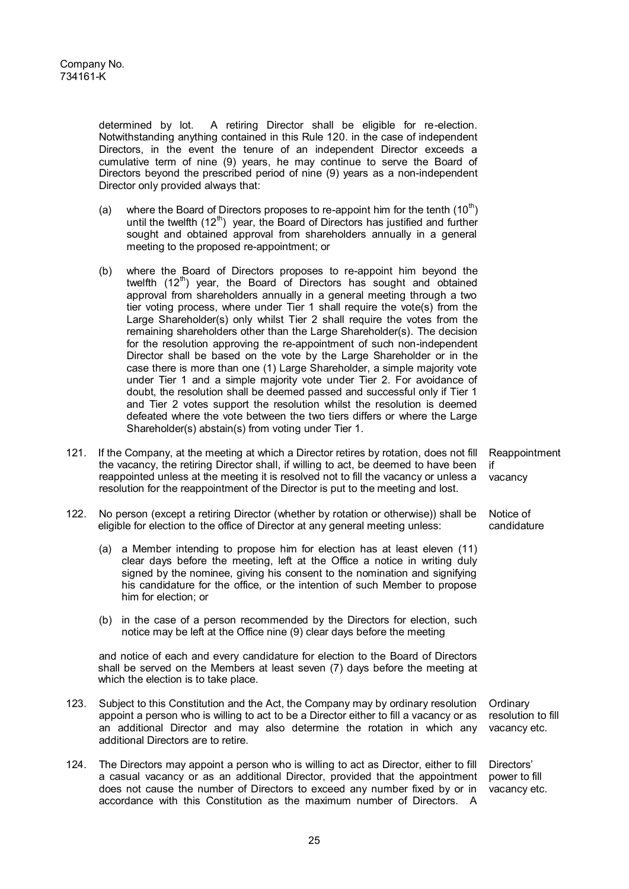determined by lot. A retiring Director shall be eligible for re-election. Notwithstanding anything contained in this Rule 120. in the case of independent Directors, in the event the tenure of an independent Director exceeds a cumulative term of nine (9) years, he may continue to serve the Board of Directors beyond the prescribed period of nine (9) years as a non-independent Director only provided always that:

- (a) where the Board of Directors proposes to re-appoint him for the tenth  $(10<sup>th</sup>)$ until the twelfth  $(12<sup>th</sup>)$  year, the Board of Directors has justified and further sought and obtained approval from shareholders annually in a general meeting to the proposed re-appointment; or
- (b) where the Board of Directors proposes to re-appoint him beyond the twelfth  $(12<sup>th</sup>)$  year, the Board of Directors has sought and obtained approval from shareholders annually in a general meeting through a two tier voting process, where under Tier 1 shall require the vote(s) from the Large Shareholder(s) only whilst Tier 2 shall require the votes from the remaining shareholders other than the Large Shareholder(s). The decision for the resolution approving the re-appointment of such non-independent Director shall be based on the vote by the Large Shareholder or in the case there is more than one (1) Large Shareholder, a simple majority vote under Tier 1 and a simple majority vote under Tier 2. For avoidance of doubt, the resolution shall be deemed passed and successful only if Tier 1 and Tier 2 votes support the resolution whilst the resolution is deemed defeated where the vote between the two tiers differs or where the Large Shareholder(s) abstain(s) from voting under Tier 1.
- 121. If the Company, at the meeting at which a Director retires by rotation, does not fill the vacancy, the retiring Director shall, if willing to act, be deemed to have been reappointed unless at the meeting it is resolved not to fill the vacancy or unless a resolution for the reappointment of the Director is put to the meeting and lost. if vacancy
- 122. No person (except a retiring Director (whether by rotation or otherwise)) shall be eligible for election to the office of Director at any general meeting unless:
	- (a) a Member intending to propose him for election has at least eleven (11) clear days before the meeting, left at the Office a notice in writing duly signed by the nominee, giving his consent to the nomination and signifying his candidature for the office, or the intention of such Member to propose him for election; or
	- (b) in the case of a person recommended by the Directors for election, such notice may be left at the Office nine (9) clear days before the meeting

and notice of each and every candidature for election to the Board of Directors shall be served on the Members at least seven (7) days before the meeting at which the election is to take place.

- 123. Subject to this Constitution and the Act, the Company may by ordinary resolution appoint a person who is willing to act to be a Director either to fill a vacancy or as an additional Director and may also determine the rotation in which any additional Directors are to retire. **Ordinary** resolution to fill
- 124. The Directors may appoint a person who is willing to act as Director, either to fill a casual vacancy or as an additional Director, provided that the appointment does not cause the number of Directors to exceed any number fixed by or in accordance with this Constitution as the maximum number of Directors. A

Reappointment

Notice of candidature

vacancy etc.

Directors' power to fill vacancy etc.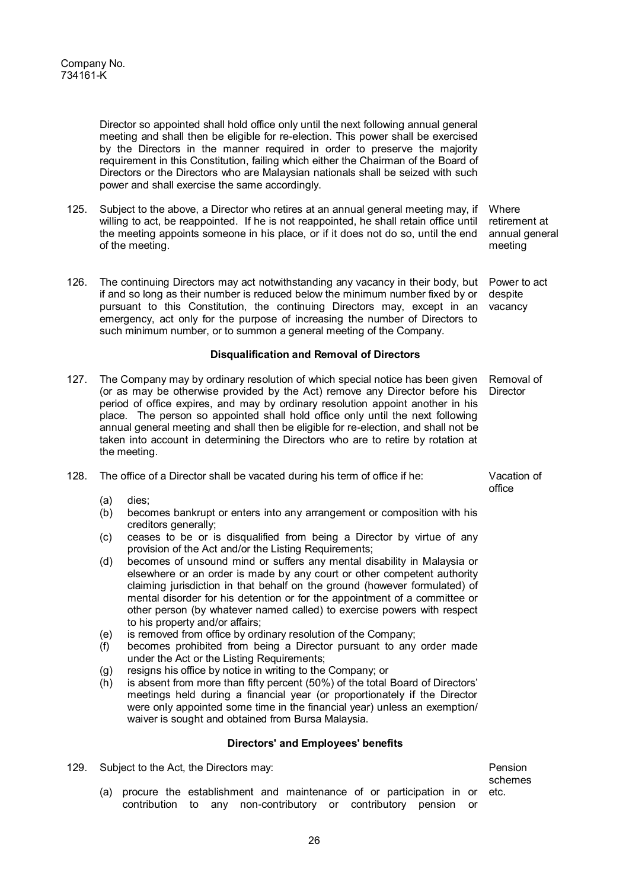Director so appointed shall hold office only until the next following annual general meeting and shall then be eligible for re-election. This power shall be exercised by the Directors in the manner required in order to preserve the majority requirement in this Constitution, failing which either the Chairman of the Board of Directors or the Directors who are Malaysian nationals shall be seized with such power and shall exercise the same accordingly.

- 125. Subject to the above, a Director who retires at an annual general meeting may, if willing to act, be reappointed. If he is not reappointed, he shall retain office until the meeting appoints someone in his place, or if it does not do so, until the end of the meeting.
- 126. The continuing Directors may act notwithstanding any vacancy in their body, but if and so long as their number is reduced below the minimum number fixed by or pursuant to this Constitution, the continuing Directors may, except in an emergency, act only for the purpose of increasing the number of Directors to such minimum number, or to summon a general meeting of the Company.

## **Disqualification and Removal of Directors**

- 127. The Company may by ordinary resolution of which special notice has been given (or as may be otherwise provided by the Act) remove any Director before his period of office expires, and may by ordinary resolution appoint another in his place. The person so appointed shall hold office only until the next following annual general meeting and shall then be eligible for re-election, and shall not be taken into account in determining the Directors who are to retire by rotation at the meeting. Removal of **Director**
- 128. The office of a Director shall be vacated during his term of office if he:
	- (a) dies;<br>(b) beco
	- becomes bankrupt or enters into any arrangement or composition with his creditors generally;
	- (c) ceases to be or is disqualified from being a Director by virtue of any provision of the Act and/or the Listing Requirements;
	- (d) becomes of unsound mind or suffers any mental disability in Malaysia or elsewhere or an order is made by any court or other competent authority claiming jurisdiction in that behalf on the ground (however formulated) of mental disorder for his detention or for the appointment of a committee or other person (by whatever named called) to exercise powers with respect to his property and/or affairs;
	- (e) is removed from office by ordinary resolution of the Company;
	- (f) becomes prohibited from being a Director pursuant to any order made under the Act or the Listing Requirements;
	- (g) resigns his office by notice in writing to the Company; or
	- (h) is absent from more than fifty percent (50%) of the total Board of Directors' meetings held during a financial year (or proportionately if the Director were only appointed some time in the financial year) unless an exemption/ waiver is sought and obtained from Bursa Malaysia.

## **Directors' and Employees' benefits**

129. Subject to the Act, the Directors may:

Pension schemes etc.

(a) procure the establishment and maintenance of or participation in or contribution to any non-contributory or contributory pension or

**Where** retirement at annual general meeting

Power to act despite vacancy

Vacation of office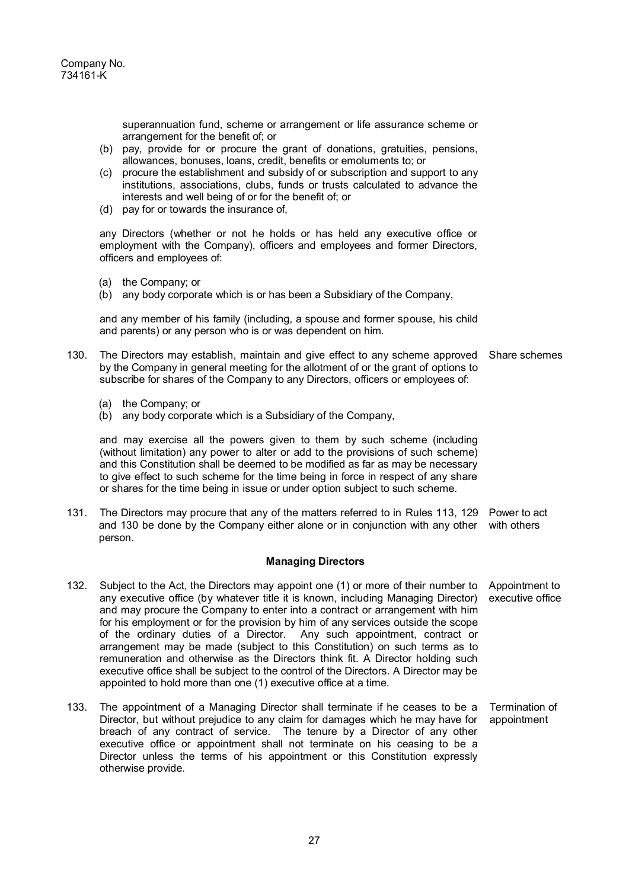superannuation fund, scheme or arrangement or life assurance scheme or arrangement for the benefit of; or

- (b) pay, provide for or procure the grant of donations, gratuities, pensions, allowances, bonuses, loans, credit, benefits or emoluments to; or
- (c) procure the establishment and subsidy of or subscription and support to any institutions, associations, clubs, funds or trusts calculated to advance the interests and well being of or for the benefit of; or
- (d) pay for or towards the insurance of,

any Directors (whether or not he holds or has held any executive office or employment with the Company), officers and employees and former Directors, officers and employees of:

- (a) the Company; or
- (b) any body corporate which is or has been a Subsidiary of the Company,

and any member of his family (including, a spouse and former spouse, his child and parents) or any person who is or was dependent on him.

- 130. The Directors may establish, maintain and give effect to any scheme approved Share schemes by the Company in general meeting for the allotment of or the grant of options to subscribe for shares of the Company to any Directors, officers or employees of:
	- (a) the Company; or
	- (b) any body corporate which is a Subsidiary of the Company,

and may exercise all the powers given to them by such scheme (including (without limitation) any power to alter or add to the provisions of such scheme) and this Constitution shall be deemed to be modified as far as may be necessary to give effect to such scheme for the time being in force in respect of any share or shares for the time being in issue or under option subject to such scheme.

131. The Directors may procure that any of the matters referred to in Rules 113, 129 and 130 be done by the Company either alone or in conjunction with any other person. Power to act with others

## **Managing Directors**

- 132. Subject to the Act, the Directors may appoint one (1) or more of their number to any executive office (by whatever title it is known, including Managing Director) and may procure the Company to enter into a contract or arrangement with him for his employment or for the provision by him of any services outside the scope of the ordinary duties of a Director. Any such appointment, contract or arrangement may be made (subject to this Constitution) on such terms as to remuneration and otherwise as the Directors think fit. A Director holding such executive office shall be subject to the control of the Directors. A Director may be appointed to hold more than one (1) executive office at a time. Appointment to executive office
- 133. The appointment of a Managing Director shall terminate if he ceases to be a Director, but without prejudice to any claim for damages which he may have for breach of any contract of service. The tenure by a Director of any other executive office or appointment shall not terminate on his ceasing to be a Director unless the terms of his appointment or this Constitution expressly otherwise provide. Termination of appointment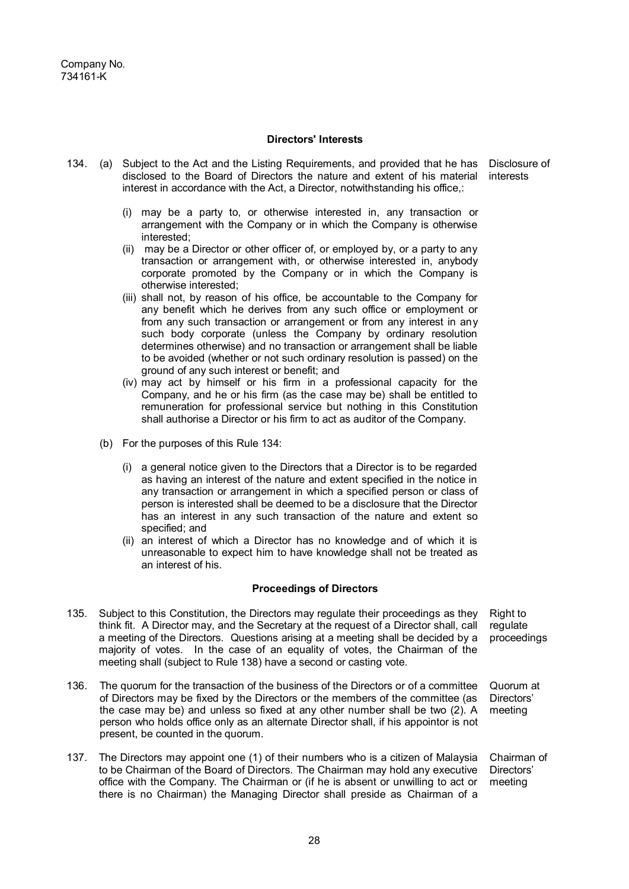## **Directors' Interests**

- 134. (a) Subject to the Act and the Listing Requirements, and provided that he has Disclosure of disclosed to the Board of Directors the nature and extent of his material interests interest in accordance with the Act, a Director, notwithstanding his office,:
	- (i) may be a party to, or otherwise interested in, any transaction or arrangement with the Company or in which the Company is otherwise interested;
	- (ii) may be a Director or other officer of, or employed by, or a party to any transaction or arrangement with, or otherwise interested in, anybody corporate promoted by the Company or in which the Company is otherwise interested;
	- (iii) shall not, by reason of his office, be accountable to the Company for any benefit which he derives from any such office or employment or from any such transaction or arrangement or from any interest in any such body corporate (unless the Company by ordinary resolution determines otherwise) and no transaction or arrangement shall be liable to be avoided (whether or not such ordinary resolution is passed) on the ground of any such interest or benefit; and
	- (iv) may act by himself or his firm in a professional capacity for the Company, and he or his firm (as the case may be) shall be entitled to remuneration for professional service but nothing in this Constitution shall authorise a Director or his firm to act as auditor of the Company.
	- (b) For the purposes of this Rule 134:
		- (i) a general notice given to the Directors that a Director is to be regarded as having an interest of the nature and extent specified in the notice in any transaction or arrangement in which a specified person or class of person is interested shall be deemed to be a disclosure that the Director has an interest in any such transaction of the nature and extent so specified; and
		- (ii) an interest of which a Director has no knowledge and of which it is unreasonable to expect him to have knowledge shall not be treated as an interest of his.

#### **Proceedings of Directors**

- 135. Subject to this Constitution, the Directors may regulate their proceedings as they think fit. A Director may, and the Secretary at the request of a Director shall, call a meeting of the Directors. Questions arising at a meeting shall be decided by a majority of votes. In the case of an equality of votes, the Chairman of the meeting shall (subject to Rule 138) have a second or casting vote. Right to regulate proceedings
- 136. The quorum for the transaction of the business of the Directors or of a committee of Directors may be fixed by the Directors or the members of the committee (as the case may be) and unless so fixed at any other number shall be two (2). A person who holds office only as an alternate Director shall, if his appointor is not present, be counted in the quorum. Quorum at meeting
- 137. The Directors may appoint one (1) of their numbers who is a citizen of Malaysia to be Chairman of the Board of Directors. The Chairman may hold any executive office with the Company. The Chairman or (if he is absent or unwilling to act or there is no Chairman) the Managing Director shall preside as Chairman of a Chairman of Directors' meeting

Directors'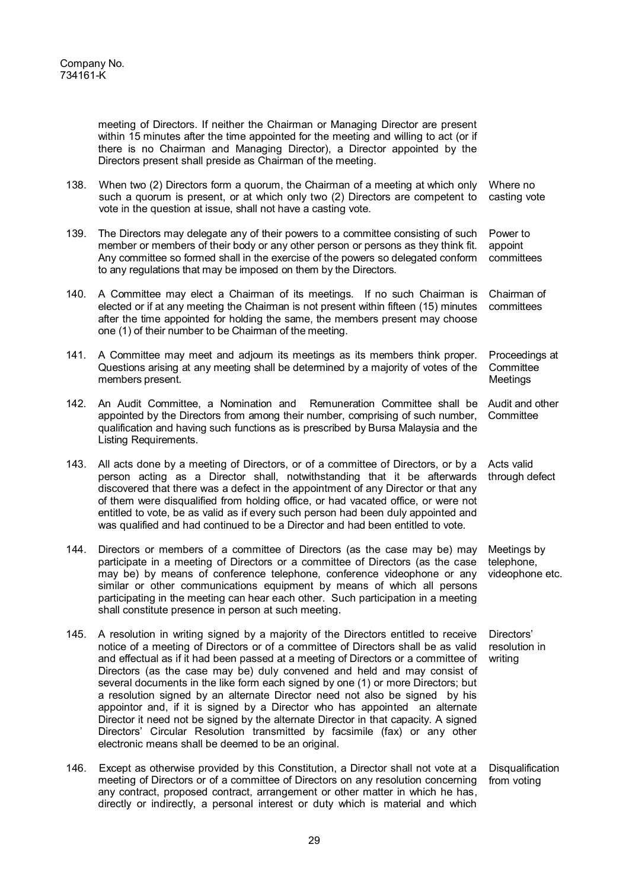meeting of Directors. If neither the Chairman or Managing Director are present within 15 minutes after the time appointed for the meeting and willing to act (or if there is no Chairman and Managing Director), a Director appointed by the Directors present shall preside as Chairman of the meeting.

- 138. When two (2) Directors form a quorum, the Chairman of a meeting at which only such a quorum is present, or at which only two (2) Directors are competent to vote in the question at issue, shall not have a casting vote. Where no casting vote
- 139. The Directors may delegate any of their powers to a committee consisting of such member or members of their body or any other person or persons as they think fit. Any committee so formed shall in the exercise of the powers so delegated conform to any regulations that may be imposed on them by the Directors. Power to appoint committees
- 140. A Committee may elect a Chairman of its meetings. If no such Chairman is elected or if at any meeting the Chairman is not present within fifteen (15) minutes after the time appointed for holding the same, the members present may choose one (1) of their number to be Chairman of the meeting. Chairman of committees
- 141. A Committee may meet and adjourn its meetings as its members think proper. Questions arising at any meeting shall be determined by a majority of votes of the members present. Proceedings at **Committee Meetings**
- 142. An Audit Committee, a Nomination and Remuneration Committee shall be appointed by the Directors from among their number, comprising of such number, qualification and having such functions as is prescribed by Bursa Malaysia and the Listing Requirements. Audit and other **Committee**
- 143. All acts done by a meeting of Directors, or of a committee of Directors, or by a person acting as a Director shall, notwithstanding that it be afterwards discovered that there was a defect in the appointment of any Director or that any of them were disqualified from holding office, or had vacated office, or were not entitled to vote, be as valid as if every such person had been duly appointed and was qualified and had continued to be a Director and had been entitled to vote. Acts valid through defect
- 144. Directors or members of a committee of Directors (as the case may be) may participate in a meeting of Directors or a committee of Directors (as the case may be) by means of conference telephone, conference videophone or any similar or other communications equipment by means of which all persons participating in the meeting can hear each other. Such participation in a meeting shall constitute presence in person at such meeting. Meetings by telephone, videophone etc.
- 145. A resolution in writing signed by a majority of the Directors entitled to receive notice of a meeting of Directors or of a committee of Directors shall be as valid and effectual as if it had been passed at a meeting of Directors or a committee of Directors (as the case may be) duly convened and held and may consist of several documents in the like form each signed by one (1) or more Directors; but a resolution signed by an alternate Director need not also be signed by his appointor and, if it is signed by a Director who has appointed an alternate Director it need not be signed by the alternate Director in that capacity. A signed Directors' Circular Resolution transmitted by facsimile (fax) or any other electronic means shall be deemed to be an original. Directors' resolution in writing
- 146. Except as otherwise provided by this Constitution, a Director shall not vote at a meeting of Directors or of a committee of Directors on any resolution concerning any contract, proposed contract, arrangement or other matter in which he has, directly or indirectly, a personal interest or duty which is material and which **Disqualification** from voting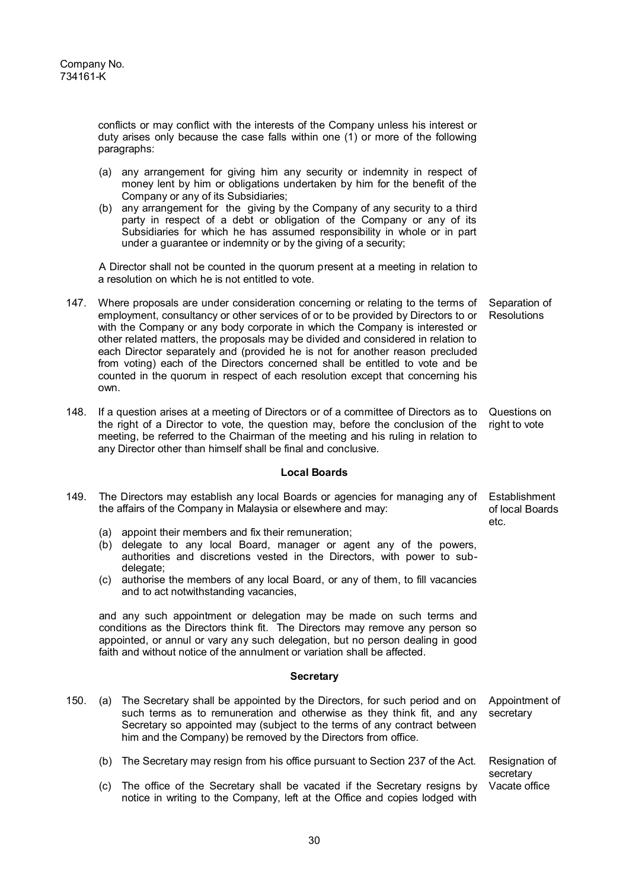conflicts or may conflict with the interests of the Company unless his interest or duty arises only because the case falls within one (1) or more of the following paragraphs:

- (a) any arrangement for giving him any security or indemnity in respect of money lent by him or obligations undertaken by him for the benefit of the Company or any of its Subsidiaries;
- (b) any arrangement for the giving by the Company of any security to a third party in respect of a debt or obligation of the Company or any of its Subsidiaries for which he has assumed responsibility in whole or in part under a guarantee or indemnity or by the giving of a security;

A Director shall not be counted in the quorum present at a meeting in relation to a resolution on which he is not entitled to vote.

- 147. Where proposals are under consideration concerning or relating to the terms of employment, consultancy or other services of or to be provided by Directors to or with the Company or any body corporate in which the Company is interested or other related matters, the proposals may be divided and considered in relation to each Director separately and (provided he is not for another reason precluded from voting) each of the Directors concerned shall be entitled to vote and be counted in the quorum in respect of each resolution except that concerning his own. Separation of **Resolutions**
- 148. If a question arises at a meeting of Directors or of a committee of Directors as to the right of a Director to vote, the question may, before the conclusion of the meeting, be referred to the Chairman of the meeting and his ruling in relation to any Director other than himself shall be final and conclusive. Questions on right to vote

## **Local Boards**

- 149. The Directors may establish any local Boards or agencies for managing any of Establishment the affairs of the Company in Malaysia or elsewhere and may:
	- (a) appoint their members and fix their remuneration;
	- (b) delegate to any local Board, manager or agent any of the powers, authorities and discretions vested in the Directors, with power to subdelegate;
	- (c) authorise the members of any local Board, or any of them, to fill vacancies and to act notwithstanding vacancies,

and any such appointment or delegation may be made on such terms and conditions as the Directors think fit. The Directors may remove any person so appointed, or annul or vary any such delegation, but no person dealing in good faith and without notice of the annulment or variation shall be affected.

## **Secretary**

- 150. (a) The Secretary shall be appointed by the Directors, for such period and on such terms as to remuneration and otherwise as they think fit, and any Secretary so appointed may (subject to the terms of any contract between him and the Company) be removed by the Directors from office. Appointment of secretary
	- (b) The Secretary may resign from his office pursuant to Section 237 of the Act.
	- (c) The office of the Secretary shall be vacated if the Secretary resigns by notice in writing to the Company, left at the Office and copies lodged with Vacate office

of local Boards etc.

Resignation of secretary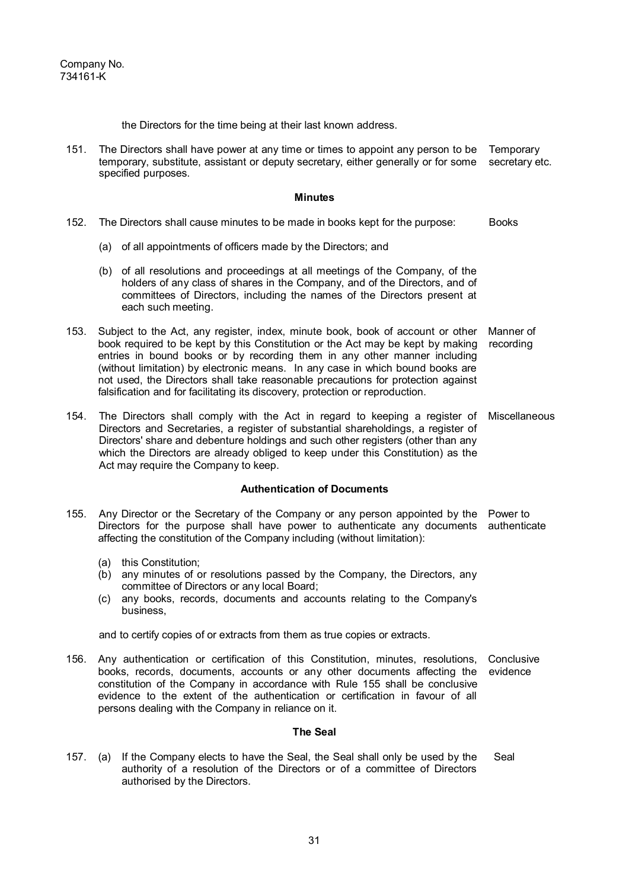the Directors for the time being at their last known address.

151. The Directors shall have power at any time or times to appoint any person to be Temporary temporary, substitute, assistant or deputy secretary, either generally or for some specified purposes. secretary etc.

#### **Minutes**

- 152. The Directors shall cause minutes to be made in books kept for the purpose: Books
	- (a) of all appointments of officers made by the Directors; and
	- (b) of all resolutions and proceedings at all meetings of the Company, of the holders of any class of shares in the Company, and of the Directors, and of committees of Directors, including the names of the Directors present at each such meeting.
- 153. Subject to the Act, any register, index, minute book, book of account or other book required to be kept by this Constitution or the Act may be kept by making entries in bound books or by recording them in any other manner including (without limitation) by electronic means. In any case in which bound books are not used, the Directors shall take reasonable precautions for protection against falsification and for facilitating its discovery, protection or reproduction. Manner of recording
- 154. The Directors shall comply with the Act in regard to keeping a register of Directors and Secretaries, a register of substantial shareholdings, a register of Directors' share and debenture holdings and such other registers (other than any which the Directors are already obliged to keep under this Constitution) as the Act may require the Company to keep. Miscellaneous

## **Authentication of Documents**

- 155. Any Director or the Secretary of the Company or any person appointed by the Power to Directors for the purpose shall have power to authenticate any documents authenticate affecting the constitution of the Company including (without limitation):
	- (a) this Constitution;
	- (b) any minutes of or resolutions passed by the Company, the Directors, any committee of Directors or any local Board;
	- (c) any books, records, documents and accounts relating to the Company's business,

and to certify copies of or extracts from them as true copies or extracts.

156. Any authentication or certification of this Constitution, minutes, resolutions, books, records, documents, accounts or any other documents affecting the constitution of the Company in accordance with Rule 155 shall be conclusive evidence to the extent of the authentication or certification in favour of all persons dealing with the Company in reliance on it. **Conclusive** evidence

## **The Seal**

157. (a) If the Company elects to have the Seal, the Seal shall only be used by the authority of a resolution of the Directors or of a committee of Directors authorised by the Directors. Seal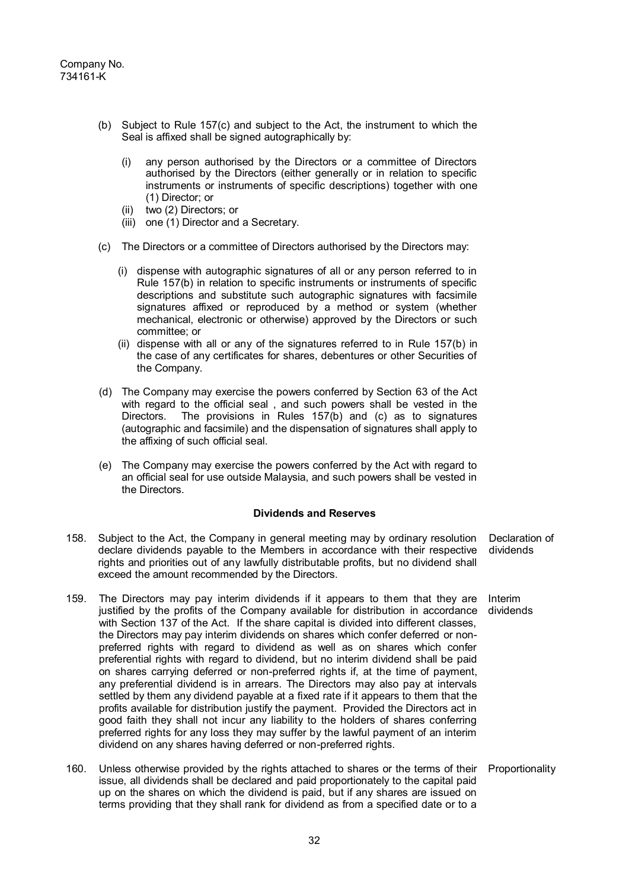- (b) Subject to Rule 157(c) and subject to the Act, the instrument to which the Seal is affixed shall be signed autographically by:
	- (i) any person authorised by the Directors or a committee of Directors authorised by the Directors (either generally or in relation to specific instruments or instruments of specific descriptions) together with one (1) Director; or
	- (ii) two (2) Directors; or
	- (iii) one (1) Director and a Secretary.
- (c) The Directors or a committee of Directors authorised by the Directors may:
	- (i) dispense with autographic signatures of all or any person referred to in Rule 157(b) in relation to specific instruments or instruments of specific descriptions and substitute such autographic signatures with facsimile signatures affixed or reproduced by a method or system (whether mechanical, electronic or otherwise) approved by the Directors or such committee; or
	- (ii) dispense with all or any of the signatures referred to in Rule 157(b) in the case of any certificates for shares, debentures or other Securities of the Company.
- (d) The Company may exercise the powers conferred by Section 63 of the Act with regard to the official seal , and such powers shall be vested in the Directors. The provisions in Rules 157(b) and (c) as to signatures (autographic and facsimile) and the dispensation of signatures shall apply to the affixing of such official seal.
- (e) The Company may exercise the powers conferred by the Act with regard to an official seal for use outside Malaysia, and such powers shall be vested in the Directors.

### **Dividends and Reserves**

- 158. Subject to the Act, the Company in general meeting may by ordinary resolution declare dividends payable to the Members in accordance with their respective rights and priorities out of any lawfully distributable profits, but no dividend shall exceed the amount recommended by the Directors. Declaration of dividends
- 159. The Directors may pay interim dividends if it appears to them that they are justified by the profits of the Company available for distribution in accordance with Section 137 of the Act. If the share capital is divided into different classes, the Directors may pay interim dividends on shares which confer deferred or nonpreferred rights with regard to dividend as well as on shares which confer preferential rights with regard to dividend, but no interim dividend shall be paid on shares carrying deferred or non-preferred rights if, at the time of payment, any preferential dividend is in arrears. The Directors may also pay at intervals settled by them any dividend payable at a fixed rate if it appears to them that the profits available for distribution justify the payment. Provided the Directors act in good faith they shall not incur any liability to the holders of shares conferring preferred rights for any loss they may suffer by the lawful payment of an interim dividend on any shares having deferred or non-preferred rights. Interim dividends
- 160. Unless otherwise provided by the rights attached to shares or the terms of their Proportionality issue, all dividends shall be declared and paid proportionately to the capital paid up on the shares on which the dividend is paid, but if any shares are issued on terms providing that they shall rank for dividend as from a specified date or to a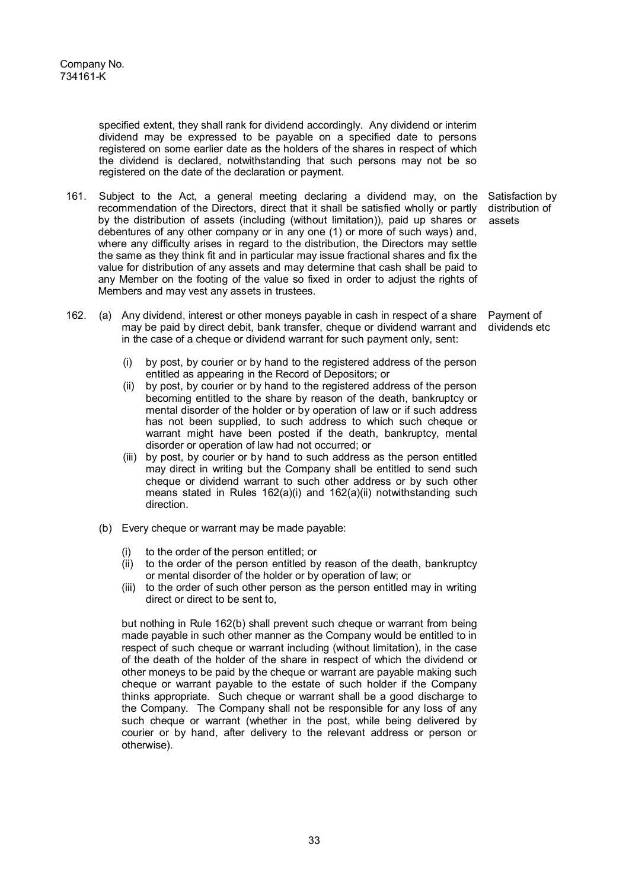specified extent, they shall rank for dividend accordingly. Any dividend or interim dividend may be expressed to be payable on a specified date to persons registered on some earlier date as the holders of the shares in respect of which the dividend is declared, notwithstanding that such persons may not be so registered on the date of the declaration or payment.

- 161. Subject to the Act, a general meeting declaring a dividend may, on the recommendation of the Directors, direct that it shall be satisfied wholly or partly by the distribution of assets (including (without limitation)), paid up shares or debentures of any other company or in any one (1) or more of such ways) and, where any difficulty arises in regard to the distribution, the Directors may settle the same as they think fit and in particular may issue fractional shares and fix the value for distribution of any assets and may determine that cash shall be paid to any Member on the footing of the value so fixed in order to adjust the rights of Members and may vest any assets in trustees.
- 162. (a) Any dividend, interest or other moneys payable in cash in respect of a share may be paid by direct debit, bank transfer, cheque or dividend warrant and in the case of a cheque or dividend warrant for such payment only, sent:
	- (i) by post, by courier or by hand to the registered address of the person entitled as appearing in the Record of Depositors; or
	- (ii) by post, by courier or by hand to the registered address of the person becoming entitled to the share by reason of the death, bankruptcy or mental disorder of the holder or by operation of law or if such address has not been supplied, to such address to which such cheque or warrant might have been posted if the death, bankruptcy, mental disorder or operation of law had not occurred; or
	- (iii) by post, by courier or by hand to such address as the person entitled may direct in writing but the Company shall be entitled to send such cheque or dividend warrant to such other address or by such other means stated in Rules 162(a)(i) and 162(a)(ii) notwithstanding such direction.
	- (b) Every cheque or warrant may be made payable:
		- (i) to the order of the person entitled; or  $(ii)$  to the order of the person entitled by
		- to the order of the person entitled by reason of the death, bankruptcy or mental disorder of the holder or by operation of law; or
		- (iii) to the order of such other person as the person entitled may in writing direct or direct to be sent to,

but nothing in Rule 162(b) shall prevent such cheque or warrant from being made payable in such other manner as the Company would be entitled to in respect of such cheque or warrant including (without limitation), in the case of the death of the holder of the share in respect of which the dividend or other moneys to be paid by the cheque or warrant are payable making such cheque or warrant payable to the estate of such holder if the Company thinks appropriate. Such cheque or warrant shall be a good discharge to the Company. The Company shall not be responsible for any loss of any such cheque or warrant (whether in the post, while being delivered by courier or by hand, after delivery to the relevant address or person or otherwise).

Satisfaction by distribution of assets

Payment of dividends etc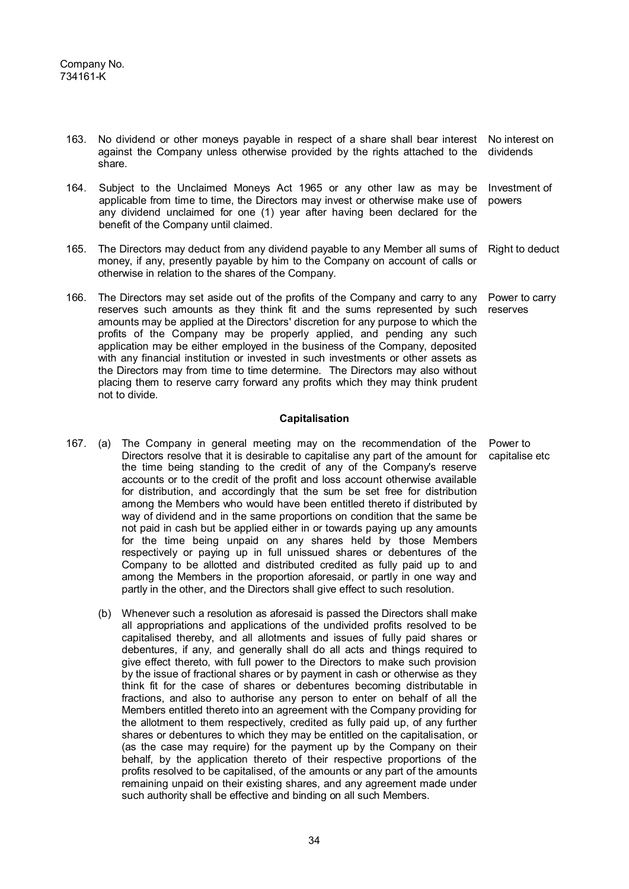- 163. No dividend or other moneys payable in respect of a share shall bear interest No interest on against the Company unless otherwise provided by the rights attached to the share. dividends
- 164. Subject to the Unclaimed Moneys Act 1965 or any other law as may be applicable from time to time, the Directors may invest or otherwise make use of any dividend unclaimed for one (1) year after having been declared for the benefit of the Company until claimed. Investment of powers
- 165. The Directors may deduct from any dividend payable to any Member all sums of money, if any, presently payable by him to the Company on account of calls or otherwise in relation to the shares of the Company. Right to deduct
- 166. The Directors may set aside out of the profits of the Company and carry to any reserves such amounts as they think fit and the sums represented by such amounts may be applied at the Directors' discretion for any purpose to which the profits of the Company may be properly applied, and pending any such application may be either employed in the business of the Company, deposited with any financial institution or invested in such investments or other assets as the Directors may from time to time determine. The Directors may also without placing them to reserve carry forward any profits which they may think prudent not to divide. Power to carry reserves

## **Capitalisation**

- 167. (a) The Company in general meeting may on the recommendation of the Directors resolve that it is desirable to capitalise any part of the amount for the time being standing to the credit of any of the Company's reserve accounts or to the credit of the profit and loss account otherwise available for distribution, and accordingly that the sum be set free for distribution among the Members who would have been entitled thereto if distributed by way of dividend and in the same proportions on condition that the same be not paid in cash but be applied either in or towards paying up any amounts for the time being unpaid on any shares held by those Members respectively or paying up in full unissued shares or debentures of the Company to be allotted and distributed credited as fully paid up to and among the Members in the proportion aforesaid, or partly in one way and partly in the other, and the Directors shall give effect to such resolution. Power to capitalise etc
	- (b) Whenever such a resolution as aforesaid is passed the Directors shall make all appropriations and applications of the undivided profits resolved to be capitalised thereby, and all allotments and issues of fully paid shares or debentures, if any, and generally shall do all acts and things required to give effect thereto, with full power to the Directors to make such provision by the issue of fractional shares or by payment in cash or otherwise as they think fit for the case of shares or debentures becoming distributable in fractions, and also to authorise any person to enter on behalf of all the Members entitled thereto into an agreement with the Company providing for the allotment to them respectively, credited as fully paid up, of any further shares or debentures to which they may be entitled on the capitalisation, or (as the case may require) for the payment up by the Company on their behalf, by the application thereto of their respective proportions of the profits resolved to be capitalised, of the amounts or any part of the amounts remaining unpaid on their existing shares, and any agreement made under such authority shall be effective and binding on all such Members.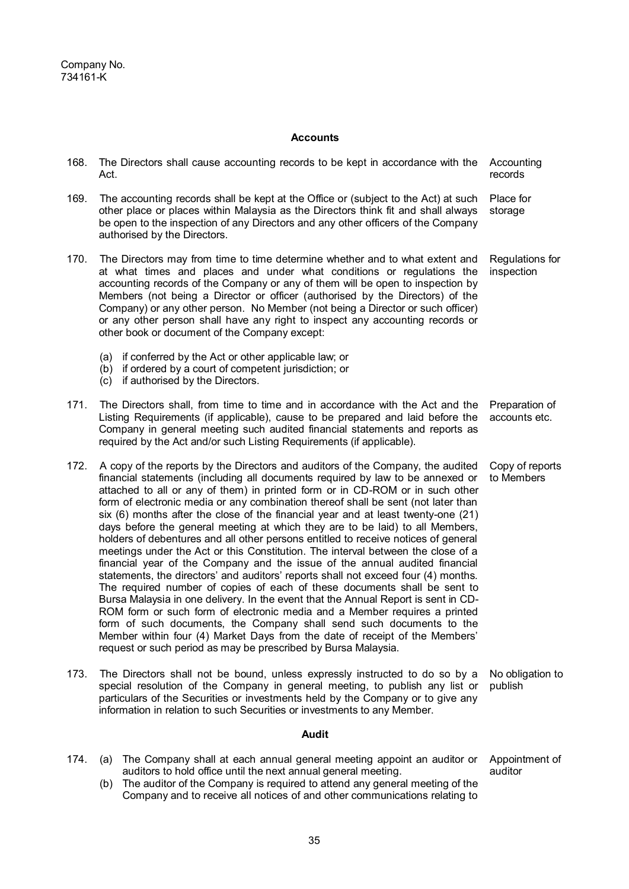# **Accounts**

| 168. | The Directors shall cause accounting records to be kept in accordance with the<br>Act.                                                                                                                                                                                                                                                                                                                                                                                                                                                                                                                                                                                                                                                                                                                                                                                                                                                                                                                                                                                                                                                                                                                                                                                                                                                    | Accounting<br>records           |
|------|-------------------------------------------------------------------------------------------------------------------------------------------------------------------------------------------------------------------------------------------------------------------------------------------------------------------------------------------------------------------------------------------------------------------------------------------------------------------------------------------------------------------------------------------------------------------------------------------------------------------------------------------------------------------------------------------------------------------------------------------------------------------------------------------------------------------------------------------------------------------------------------------------------------------------------------------------------------------------------------------------------------------------------------------------------------------------------------------------------------------------------------------------------------------------------------------------------------------------------------------------------------------------------------------------------------------------------------------|---------------------------------|
| 169. | The accounting records shall be kept at the Office or (subject to the Act) at such<br>other place or places within Malaysia as the Directors think fit and shall always<br>be open to the inspection of any Directors and any other officers of the Company<br>authorised by the Directors.                                                                                                                                                                                                                                                                                                                                                                                                                                                                                                                                                                                                                                                                                                                                                                                                                                                                                                                                                                                                                                               | Place for<br>storage            |
| 170. | The Directors may from time to time determine whether and to what extent and<br>at what times and places and under what conditions or regulations the<br>accounting records of the Company or any of them will be open to inspection by<br>Members (not being a Director or officer (authorised by the Directors) of the<br>Company) or any other person. No Member (not being a Director or such officer)<br>or any other person shall have any right to inspect any accounting records or<br>other book or document of the Company except:                                                                                                                                                                                                                                                                                                                                                                                                                                                                                                                                                                                                                                                                                                                                                                                              | Regulations for<br>inspection   |
|      | if conferred by the Act or other applicable law; or<br>(a)<br>if ordered by a court of competent jurisdiction; or<br>(b)<br>if authorised by the Directors.<br>(c)                                                                                                                                                                                                                                                                                                                                                                                                                                                                                                                                                                                                                                                                                                                                                                                                                                                                                                                                                                                                                                                                                                                                                                        |                                 |
| 171. | The Directors shall, from time to time and in accordance with the Act and the<br>Listing Requirements (if applicable), cause to be prepared and laid before the<br>Company in general meeting such audited financial statements and reports as<br>required by the Act and/or such Listing Requirements (if applicable).                                                                                                                                                                                                                                                                                                                                                                                                                                                                                                                                                                                                                                                                                                                                                                                                                                                                                                                                                                                                                   | Preparation of<br>accounts etc. |
| 172. | A copy of the reports by the Directors and auditors of the Company, the audited<br>financial statements (including all documents required by law to be annexed or<br>attached to all or any of them) in printed form or in CD-ROM or in such other<br>form of electronic media or any combination thereof shall be sent (not later than<br>six $(6)$ months after the close of the financial year and at least twenty-one $(21)$<br>days before the general meeting at which they are to be laid) to all Members,<br>holders of debentures and all other persons entitled to receive notices of general<br>meetings under the Act or this Constitution. The interval between the close of a<br>financial year of the Company and the issue of the annual audited financial<br>statements, the directors' and auditors' reports shall not exceed four (4) months.<br>The required number of copies of each of these documents shall be sent to<br>Bursa Malaysia in one delivery. In the event that the Annual Report is sent in CD-<br>ROM form or such form of electronic media and a Member requires a printed<br>form of such documents, the Company shall send such documents to the<br>Member within four (4) Market Days from the date of receipt of the Members'<br>request or such period as may be prescribed by Bursa Malaysia. | Copy of reports<br>to Members   |
| 173. | The Directors shall not be bound, unless expressly instructed to do so by a<br>special resolution of the Company in general meeting, to publish any list or<br>particulars of the Securities or investments held by the Company or to give any<br>information in relation to such Securities or investments to any Member.                                                                                                                                                                                                                                                                                                                                                                                                                                                                                                                                                                                                                                                                                                                                                                                                                                                                                                                                                                                                                | No obligation to<br>publish     |
|      | <b>Audit</b>                                                                                                                                                                                                                                                                                                                                                                                                                                                                                                                                                                                                                                                                                                                                                                                                                                                                                                                                                                                                                                                                                                                                                                                                                                                                                                                              |                                 |
| 174. | The Company shall at each annual general meeting appoint an auditor or<br>(a)                                                                                                                                                                                                                                                                                                                                                                                                                                                                                                                                                                                                                                                                                                                                                                                                                                                                                                                                                                                                                                                                                                                                                                                                                                                             | Appointment of                  |

auditors to hold office until the next annual general meeting. (b) The auditor of the Company is required to attend any general meeting of the Company and to receive all notices of and other communications relating to

auditor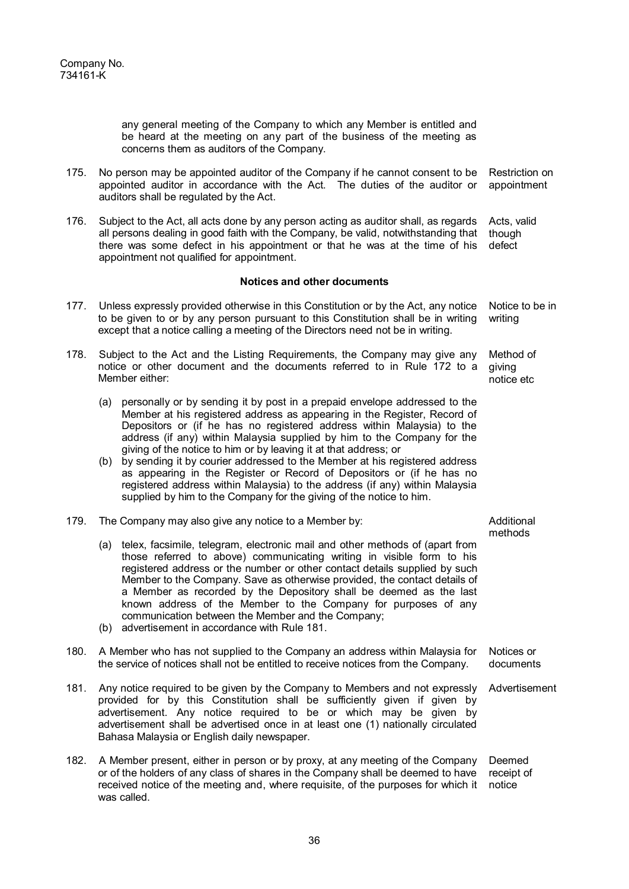any general meeting of the Company to which any Member is entitled and be heard at the meeting on any part of the business of the meeting as concerns them as auditors of the Company.

- 175. No person may be appointed auditor of the Company if he cannot consent to be appointed auditor in accordance with the Act. The duties of the auditor or auditors shall be regulated by the Act. Restriction on appointment
- 176. Subject to the Act, all acts done by any person acting as auditor shall, as regards all persons dealing in good faith with the Company, be valid, notwithstanding that there was some defect in his appointment or that he was at the time of his appointment not qualified for appointment. Acts, valid though defect

#### **Notices and other documents**

- 177. Unless expressly provided otherwise in this Constitution or by the Act, any notice to be given to or by any person pursuant to this Constitution shall be in writing except that a notice calling a meeting of the Directors need not be in writing. Notice to be in writing
- 178. Subject to the Act and the Listing Requirements, the Company may give any notice or other document and the documents referred to in Rule 172 to a Member either: Method of giving notice etc
	- (a) personally or by sending it by post in a prepaid envelope addressed to the Member at his registered address as appearing in the Register, Record of Depositors or (if he has no registered address within Malaysia) to the address (if any) within Malaysia supplied by him to the Company for the giving of the notice to him or by leaving it at that address; or
	- (b) by sending it by courier addressed to the Member at his registered address as appearing in the Register or Record of Depositors or (if he has no registered address within Malaysia) to the address (if any) within Malaysia supplied by him to the Company for the giving of the notice to him.
- 179. The Company may also give any notice to a Member by:
	- (a) telex, facsimile, telegram, electronic mail and other methods of (apart from those referred to above) communicating writing in visible form to his registered address or the number or other contact details supplied by such Member to the Company. Save as otherwise provided, the contact details of a Member as recorded by the Depository shall be deemed as the last known address of the Member to the Company for purposes of any communication between the Member and the Company;
	- (b) advertisement in accordance with Rule 181.

#### 180. A Member who has not supplied to the Company an address within Malaysia for the service of notices shall not be entitled to receive notices from the Company.

- 181. Any notice required to be given by the Company to Members and not expressly provided for by this Constitution shall be sufficiently given if given by advertisement. Any notice required to be or which may be given by advertisement shall be advertised once in at least one (1) nationally circulated Bahasa Malaysia or English daily newspaper.
- 182. A Member present, either in person or by proxy, at any meeting of the Company or of the holders of any class of shares in the Company shall be deemed to have received notice of the meeting and, where requisite, of the purposes for which it notice was called.

Additional methods

Notices or documents

Advertisement

Deemed receipt of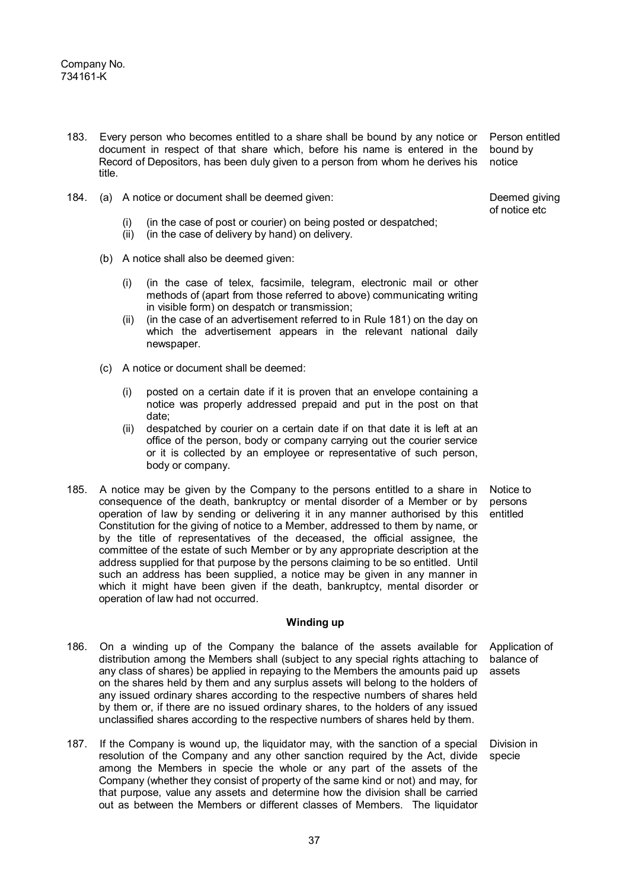- 183. Every person who becomes entitled to a share shall be bound by any notice or document in respect of that share which, before his name is entered in the Record of Depositors, has been duly given to a person from whom he derives his title.
- 184. (a) A notice or document shall be deemed given:
	- (i) (in the case of post or courier) on being posted or despatched;
	- (ii) (in the case of delivery by hand) on delivery.
	- (b) A notice shall also be deemed given:
		- (i) (in the case of telex, facsimile, telegram, electronic mail or other methods of (apart from those referred to above) communicating writing in visible form) on despatch or transmission;
		- (ii) (in the case of an advertisement referred to in Rule 181) on the day on which the advertisement appears in the relevant national daily newspaper.
	- (c) A notice or document shall be deemed:
		- (i) posted on a certain date if it is proven that an envelope containing a notice was properly addressed prepaid and put in the post on that date;
		- (ii) despatched by courier on a certain date if on that date it is left at an office of the person, body or company carrying out the courier service or it is collected by an employee or representative of such person, body or company.
- 185. A notice may be given by the Company to the persons entitled to a share in consequence of the death, bankruptcy or mental disorder of a Member or by operation of law by sending or delivering it in any manner authorised by this Constitution for the giving of notice to a Member, addressed to them by name, or by the title of representatives of the deceased, the official assignee, the committee of the estate of such Member or by any appropriate description at the address supplied for that purpose by the persons claiming to be so entitled. Until such an address has been supplied, a notice may be given in any manner in which it might have been given if the death, bankruptcy, mental disorder or operation of law had not occurred.

#### **Winding up**

- 186. On a winding up of the Company the balance of the assets available for distribution among the Members shall (subject to any special rights attaching to any class of shares) be applied in repaying to the Members the amounts paid up on the shares held by them and any surplus assets will belong to the holders of any issued ordinary shares according to the respective numbers of shares held by them or, if there are no issued ordinary shares, to the holders of any issued unclassified shares according to the respective numbers of shares held by them. Application of
- 187. If the Company is wound up, the liquidator may, with the sanction of a special resolution of the Company and any other sanction required by the Act, divide among the Members in specie the whole or any part of the assets of the Company (whether they consist of property of the same kind or not) and may, for that purpose, value any assets and determine how the division shall be carried out as between the Members or different classes of Members. The liquidator

Person entitled bound by notice

Deemed giving of notice etc

Notice to persons entitled

balance of assets

Division in specie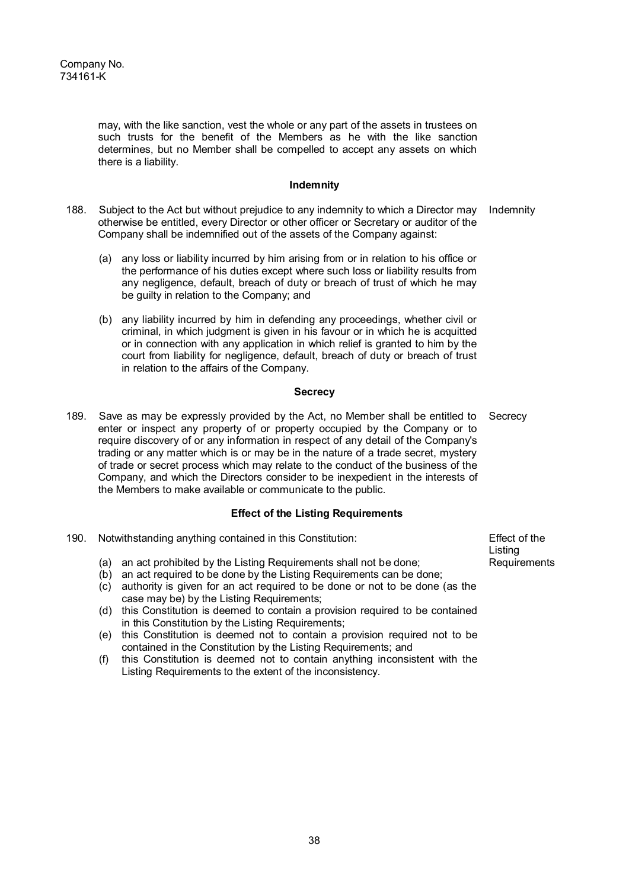may, with the like sanction, vest the whole or any part of the assets in trustees on such trusts for the benefit of the Members as he with the like sanction determines, but no Member shall be compelled to accept any assets on which there is a liability.

## **Indemnity**

- 188. Subject to the Act but without prejudice to any indemnity to which a Director may otherwise be entitled, every Director or other officer or Secretary or auditor of the Company shall be indemnified out of the assets of the Company against: Indemnity
	- (a) any loss or liability incurred by him arising from or in relation to his office or the performance of his duties except where such loss or liability results from any negligence, default, breach of duty or breach of trust of which he may be guilty in relation to the Company; and
	- (b) any liability incurred by him in defending any proceedings, whether civil or criminal, in which judgment is given in his favour or in which he is acquitted or in connection with any application in which relief is granted to him by the court from liability for negligence, default, breach of duty or breach of trust in relation to the affairs of the Company.

## **Secrecy**

189. Save as may be expressly provided by the Act, no Member shall be entitled to enter or inspect any property of or property occupied by the Company or to require discovery of or any information in respect of any detail of the Company's trading or any matter which is or may be in the nature of a trade secret, mystery of trade or secret process which may relate to the conduct of the business of the Company, and which the Directors consider to be inexpedient in the interests of the Members to make available or communicate to the public. **Secrecy** 

# **Effect of the Listing Requirements**

- 190. Notwithstanding anything contained in this Constitution:
	- (a) an act prohibited by the Listing Requirements shall not be done;
	- (b) an act required to be done by the Listing Requirements can be done;
	- (c) authority is given for an act required to be done or not to be done (as the case may be) by the Listing Requirements;
	- (d) this Constitution is deemed to contain a provision required to be contained in this Constitution by the Listing Requirements;
	- (e) this Constitution is deemed not to contain a provision required not to be contained in the Constitution by the Listing Requirements; and
	- (f) this Constitution is deemed not to contain anything inconsistent with the Listing Requirements to the extent of the inconsistency.

Effect of the Listing Requirements

38